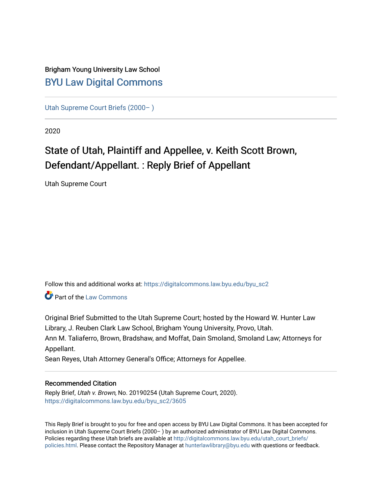### Brigham Young University Law School [BYU Law Digital Commons](https://digitalcommons.law.byu.edu/)

[Utah Supreme Court Briefs \(2000– \)](https://digitalcommons.law.byu.edu/byu_sc2)

2020

### State of Utah, Plaintiff and Appellee, v. Keith Scott Brown, Defendant/Appellant. : Reply Brief of Appellant

Utah Supreme Court

Follow this and additional works at: [https://digitalcommons.law.byu.edu/byu\\_sc2](https://digitalcommons.law.byu.edu/byu_sc2?utm_source=digitalcommons.law.byu.edu%2Fbyu_sc2%2F3605&utm_medium=PDF&utm_campaign=PDFCoverPages) 

**C** Part of the [Law Commons](https://network.bepress.com/hgg/discipline/578?utm_source=digitalcommons.law.byu.edu%2Fbyu_sc2%2F3605&utm_medium=PDF&utm_campaign=PDFCoverPages)

Original Brief Submitted to the Utah Supreme Court; hosted by the Howard W. Hunter Law Library, J. Reuben Clark Law School, Brigham Young University, Provo, Utah. Ann M. Taliaferro, Brown, Bradshaw, and Moffat, Dain Smoland, Smoland Law; Attorneys for Appellant.

Sean Reyes, Utah Attorney General's Office; Attorneys for Appellee.

### Recommended Citation

Reply Brief, Utah v. Brown, No. 20190254 (Utah Supreme Court, 2020). [https://digitalcommons.law.byu.edu/byu\\_sc2/3605](https://digitalcommons.law.byu.edu/byu_sc2/3605?utm_source=digitalcommons.law.byu.edu%2Fbyu_sc2%2F3605&utm_medium=PDF&utm_campaign=PDFCoverPages)

This Reply Brief is brought to you for free and open access by BYU Law Digital Commons. It has been accepted for inclusion in Utah Supreme Court Briefs (2000– ) by an authorized administrator of BYU Law Digital Commons. Policies regarding these Utah briefs are available at [http://digitalcommons.law.byu.edu/utah\\_court\\_briefs/](http://digitalcommons.law.byu.edu/utah_court_briefs/policies.html) [policies.html](http://digitalcommons.law.byu.edu/utah_court_briefs/policies.html). Please contact the Repository Manager at hunterlawlibrary@byu.edu with questions or feedback.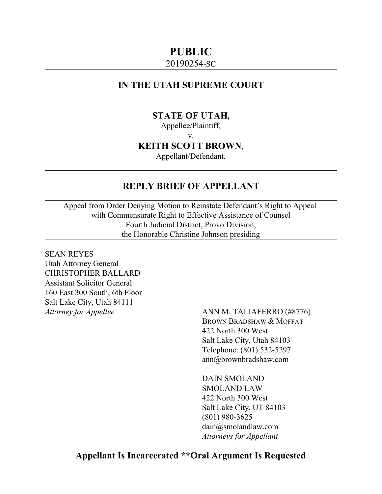### **PUBLIC**

### 20190254-SC

### **IN THE UTAH SUPREME COURT**

### **STATE OF UTAH,**

Appellee/Plaintiff,

v.

**KEITH SCOTT BROWN**,

Appellant/Defendant.

### **REPLY BRIEF OF APPELLANT**

Appeal from Order Denying Motion to Reinstate Defendant's Right to Appeal with Commensurate Right to Effective Assistance of Counsel Fourth Judicial District, Provo Division, the Honorable Christine Johnson presiding

SEAN REYES Utah Attorney General CHRISTOPHER BALLARD Assistant Solicitor General 160 East 300 South, 6th Floor Salt Lake City, Utah 84111

*Attorney for Appellee* ANN M. TALIAFERRO (#8776) BROWN BRADSHAW & MOFFAT 422 North 300 West Salt Lake City, Utah 84103 Telephone: (801) 532-5297 ann@brownbradshaw.com

> DAIN SMOLAND SMOLAND LAW 422 North 300 West Salt Lake City, UT 84103 (801) 980-3625 dain@smolandlaw.com *Attorneys for Appellant*

### **Appellant Is Incarcerated \*\*Oral Argument Is Requested**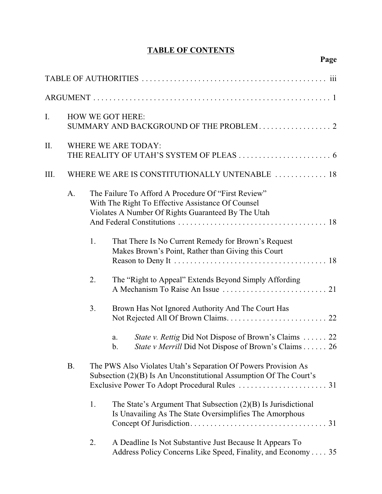### **TABLE OF CONTENTS**

| I.   |           |    | <b>HOW WE GOT HERE:</b>                                                                                                                                        |
|------|-----------|----|----------------------------------------------------------------------------------------------------------------------------------------------------------------|
| II.  |           |    | <b>WHERE WE ARE TODAY:</b>                                                                                                                                     |
| III. |           |    | WHERE WE ARE IS CONSTITUTIONALLY UNTENABLE  18                                                                                                                 |
|      | A.        |    | The Failure To Afford A Procedure Of "First Review"<br>With The Right To Effective Assistance Of Counsel<br>Violates A Number Of Rights Guaranteed By The Utah |
|      |           | 1. | That There Is No Current Remedy for Brown's Request<br>Makes Brown's Point, Rather than Giving this Court                                                      |
|      |           | 2. | The "Right to Appeal" Extends Beyond Simply Affording                                                                                                          |
|      |           | 3. | Brown Has Not Ignored Authority And The Court Has                                                                                                              |
|      |           |    | <i>State v. Rettig Did Not Dispose of Brown's Claims  22</i><br>a.<br>State v Merrill Did Not Dispose of Brown's Claims 26<br>b.                               |
|      | <b>B.</b> |    | The PWS Also Violates Utah's Separation Of Powers Provision As<br>Subsection (2)(B) Is An Unconstitutional Assumption Of The Court's                           |
|      |           | 1. | The State's Argument That Subsection (2)(B) Is Jurisdictional<br>Is Unavailing As The State Oversimplifies The Amorphous                                       |
|      |           | 2. | A Deadline Is Not Substantive Just Because It Appears To<br>Address Policy Concerns Like Speed, Finality, and Economy 35                                       |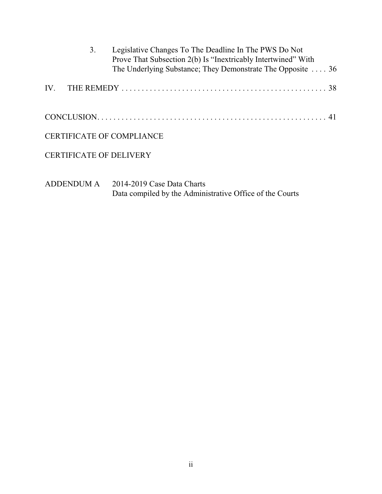|     | 3. | Legislative Changes To The Deadline In The PWS Do Not<br>Prove That Subsection 2(b) Is "Inextricably Intertwined" With<br>The Underlying Substance; They Demonstrate The Opposite  36 |
|-----|----|---------------------------------------------------------------------------------------------------------------------------------------------------------------------------------------|
| IV. |    |                                                                                                                                                                                       |
|     |    |                                                                                                                                                                                       |
|     |    | <b>CERTIFICATE OF COMPLIANCE</b>                                                                                                                                                      |
|     |    | <b>CERTIFICATE OF DELIVERY</b>                                                                                                                                                        |
|     |    | ADDENDUM A 2014-2019 Case Data Charts                                                                                                                                                 |

Data compiled by the Administrative Office of the Courts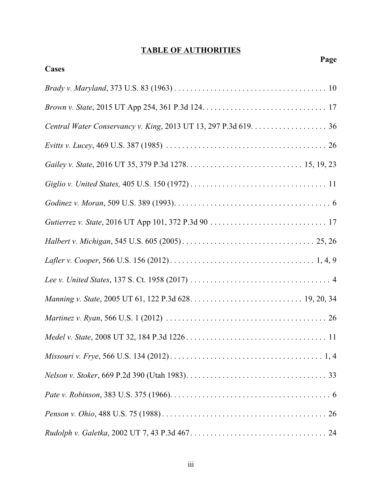### **TABLE OF AUTHORITIES**

| Page  |
|-------|
| Cases |
|       |
|       |
|       |
|       |
|       |
|       |
|       |
|       |
|       |
|       |
|       |
|       |
|       |
|       |
|       |
|       |
|       |
|       |
|       |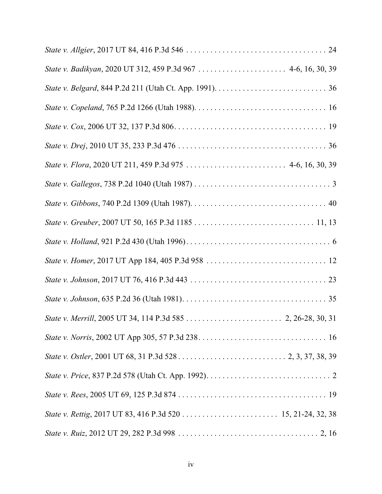| State v. Badikyan, 2020 UT 312, 459 P.3d 967  4-6, 16, 30, 39 |
|---------------------------------------------------------------|
|                                                               |
|                                                               |
|                                                               |
|                                                               |
|                                                               |
|                                                               |
|                                                               |
|                                                               |
|                                                               |
|                                                               |
|                                                               |
|                                                               |
|                                                               |
|                                                               |
|                                                               |
|                                                               |
|                                                               |
|                                                               |
|                                                               |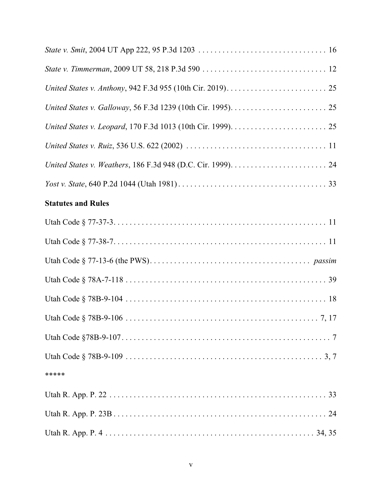| <b>Statutes and Rules</b> |
|---------------------------|
|                           |
|                           |
|                           |
|                           |
|                           |
|                           |
|                           |
|                           |
| *****                     |
|                           |
|                           |
|                           |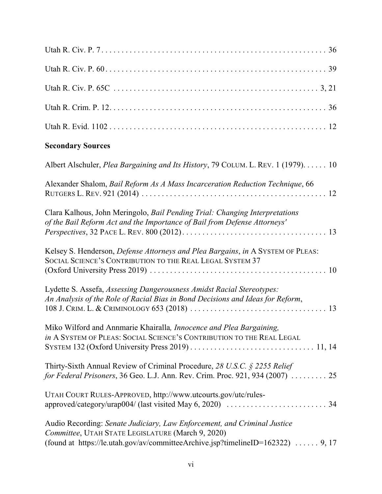| <b>Secondary Sources</b>                                                                                                                                                                                         |
|------------------------------------------------------------------------------------------------------------------------------------------------------------------------------------------------------------------|
| Albert Alschuler, <i>Plea Bargaining and Its History</i> , 79 COLUM. L. REV. 1 (1979). 10                                                                                                                        |
| Alexander Shalom, Bail Reform As A Mass Incarceration Reduction Technique, 66                                                                                                                                    |
| Clara Kalhous, John Meringolo, Bail Pending Trial: Changing Interpretations<br>of the Bail Reform Act and the Importance of Bail from Defense Attorneys'                                                         |
| Kelsey S. Henderson, Defense Attorneys and Plea Bargains, in A SYSTEM OF PLEAS:<br>SOCIAL SCIENCE'S CONTRIBUTION TO THE REAL LEGAL SYSTEM 37                                                                     |
| Lydette S. Assefa, Assessing Dangerousness Amidst Racial Stereotypes:<br>An Analysis of the Role of Racial Bias in Bond Decisions and Ideas for Reform,                                                          |
| Miko Wilford and Annmarie Khairalla, Innocence and Plea Bargaining,<br>in A SYSTEM OF PLEAS: SOCIAL SCIENCE'S CONTRIBUTION TO THE REAL LEGAL                                                                     |
| Thirty-Sixth Annual Review of Criminal Procedure, 28 U.S.C. § 2255 Relief<br>for Federal Prisoners, 36 Geo. L.J. Ann. Rev. Crim. Proc. 921, 934 (2007)  25                                                       |
| UTAH COURT RULES-APPROVED, http://www.utcourts.gov/utc/rules-                                                                                                                                                    |
| Audio Recording: Senate Judiciary, Law Enforcement, and Criminal Justice<br>Committee, UTAH STATE LEGISLATURE (March 9, 2020)<br>(found at https://le.utah.gov/av/committeeArchive.jsp?timelineID=162322)  9, 17 |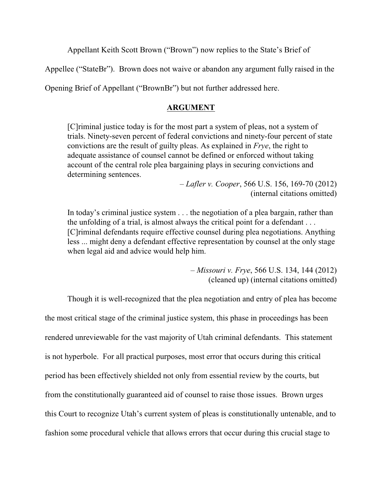Appellant Keith Scott Brown ("Brown") now replies to the State's Brief of

Appellee ("StateBr"). Brown does not waive or abandon any argument fully raised in the

Opening Brief of Appellant ("BrownBr") but not further addressed here.

### **ARGUMENT**

[C]riminal justice today is for the most part a system of pleas, not a system of trials. Ninety-seven percent of federal convictions and ninety-four percent of state convictions are the result of guilty pleas. As explained in *Frye*, the right to adequate assistance of counsel cannot be defined or enforced without taking account of the central role plea bargaining plays in securing convictions and determining sentences.

> – *Lafler v. Cooper*, 566 U.S. 156, 169-70 (2012) (internal citations omitted)

In today's criminal justice system . . . the negotiation of a plea bargain, rather than the unfolding of a trial, is almost always the critical point for a defendant . . . [C]riminal defendants require effective counsel during plea negotiations. Anything less ... might deny a defendant effective representation by counsel at the only stage when legal aid and advice would help him.

> – *Missouri v. Frye*, 566 U.S. 134, 144 (2012) (cleaned up) (internal citations omitted)

Though it is well-recognized that the plea negotiation and entry of plea has become the most critical stage of the criminal justice system, this phase in proceedings has been rendered unreviewable for the vast majority of Utah criminal defendants. This statement is not hyperbole. For all practical purposes, most error that occurs during this critical period has been effectively shielded not only from essential review by the courts, but from the constitutionally guaranteed aid of counsel to raise those issues. Brown urges this Court to recognize Utah's current system of pleas is constitutionally untenable, and to fashion some procedural vehicle that allows errors that occur during this crucial stage to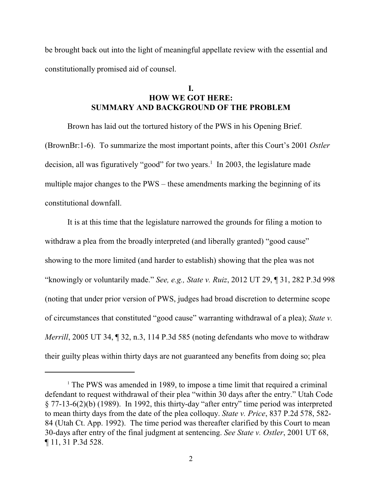be brought back out into the light of meaningful appellate review with the essential and constitutionally promised aid of counsel.

### **I. HOW WE GOT HERE: SUMMARY AND BACKGROUND OF THE PROBLEM**

Brown has laid out the tortured history of the PWS in his Opening Brief. (BrownBr:1-6). To summarize the most important points, after this Court's 2001 *Ostler* decision, all was figuratively "good" for two years.<sup>1</sup> In 2003, the legislature made multiple major changes to the PWS – these amendments marking the beginning of its constitutional downfall.

It is at this time that the legislature narrowed the grounds for filing a motion to withdraw a plea from the broadly interpreted (and liberally granted) "good cause" showing to the more limited (and harder to establish) showing that the plea was not "knowingly or voluntarily made." *See, e.g., State v. Ruiz*, 2012 UT 29, ¶ 31, 282 P.3d 998 (noting that under prior version of PWS, judges had broad discretion to determine scope of circumstances that constituted "good cause" warranting withdrawal of a plea); *State v. Merrill*, 2005 UT 34, ¶ 32, n.3, 114 P.3d 585 (noting defendants who move to withdraw their guilty pleas within thirty days are not guaranteed any benefits from doing so; plea

<sup>&</sup>lt;sup>1</sup> The PWS was amended in 1989, to impose a time limit that required a criminal defendant to request withdrawal of their plea "within 30 days after the entry." Utah Code § 77-13-6(2)(b) (1989). In 1992, this thirty-day "after entry" time period was interpreted to mean thirty days from the date of the plea colloquy. *State v. Price*, 837 P.2d 578, 582- 84 (Utah Ct. App. 1992). The time period was thereafter clarified by this Court to mean 30-days after entry of the final judgment at sentencing. *See State v. Ostler*, 2001 UT 68, ¶ 11, 31 P.3d 528.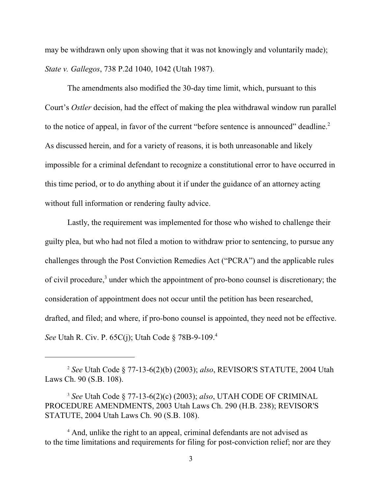may be withdrawn only upon showing that it was not knowingly and voluntarily made); *State v. Gallegos*, 738 P.2d 1040, 1042 (Utah 1987).

The amendments also modified the 30-day time limit, which, pursuant to this Court's *Ostler* decision, had the effect of making the plea withdrawal window run parallel to the notice of appeal, in favor of the current "before sentence is announced" deadline.<sup>2</sup> As discussed herein, and for a variety of reasons, it is both unreasonable and likely impossible for a criminal defendant to recognize a constitutional error to have occurred in this time period, or to do anything about it if under the guidance of an attorney acting without full information or rendering faulty advice.

Lastly, the requirement was implemented for those who wished to challenge their guilty plea, but who had not filed a motion to withdraw prior to sentencing, to pursue any challenges through the Post Conviction Remedies Act ("PCRA") and the applicable rules of civil procedure,<sup>3</sup> under which the appointment of pro-bono counsel is discretionary; the consideration of appointment does not occur until the petition has been researched, drafted, and filed; and where, if pro-bono counsel is appointed, they need not be effective. *See* Utah R. Civ. P. 65C(j); Utah Code § 78B-9-109.<sup>4</sup>

<sup>4</sup> And, unlike the right to an appeal, criminal defendants are not advised as to the time limitations and requirements for filing for post-conviction relief; nor are they

<sup>2</sup> *See* Utah Code § 77-13-6(2)(b) (2003); *also*, REVISOR'S STATUTE, 2004 Utah Laws Ch. 90 (S.B. 108).

<sup>3</sup> *See* Utah Code § 77-13-6(2)(c) (2003); *also*, UTAH CODE OF CRIMINAL PROCEDURE AMENDMENTS, 2003 Utah Laws Ch. 290 (H.B. 238); REVISOR'S STATUTE, 2004 Utah Laws Ch. 90 (S.B. 108).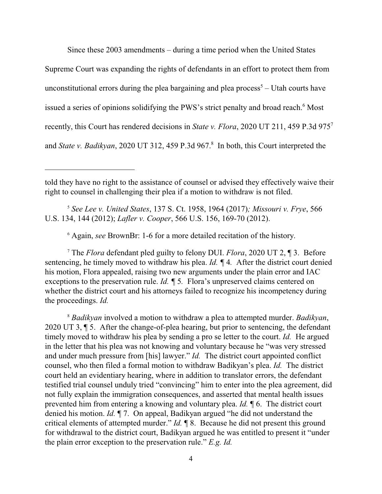Since these 2003 amendments – during a time period when the United States

Supreme Court was expanding the rights of defendants in an effort to protect them from

unconstitutional errors during the plea bargaining and plea process<sup>5</sup> – Utah courts have

issued a series of opinions solidifying the PWS's strict penalty and broad reach.<sup>6</sup> Most

recently, this Court has rendered decisions in *State v. Flora*, 2020 UT 211, 459 P.3d 975<sup>7</sup>

and *State v. Badikyan*, 2020 UT 312, 459 P.3d 967.<sup>8</sup> In both, this Court interpreted the

<sup>5</sup> *See Lee v. United States*, 137 S. Ct. 1958, 1964 (2017)*; Missouri v. Frye*, 566 U.S. 134, 144 (2012); *Lafler v. Cooper*, 566 U.S. 156, 169-70 (2012).

<sup>6</sup> Again, *see* BrownBr: 1-6 for a more detailed recitation of the history.

<sup>7</sup> The *Flora* defendant pled guilty to felony DUI. *Flora*, 2020 UT 2, ¶ 3. Before sentencing, he timely moved to withdraw his plea. *Id. ¶* 4*.* After the district court denied his motion, Flora appealed, raising two new arguments under the plain error and IAC exceptions to the preservation rule. *Id. ¶* 5*.* Flora's unpreserved claims centered on whether the district court and his attorneys failed to recognize his incompetency during the proceedings. *Id.*

<sup>8</sup> *Badikyan* involved a motion to withdraw a plea to attempted murder. *Badikyan*, 2020 UT 3, ¶ 5. After the change-of-plea hearing, but prior to sentencing, the defendant timely moved to withdraw his plea by sending a pro se letter to the court. *Id.* He argued in the letter that his plea was not knowing and voluntary because he "was very stressed and under much pressure from [his] lawyer." *Id.* The district court appointed conflict counsel, who then filed a formal motion to withdraw Badikyan's plea. *Id.* The district court held an evidentiary hearing, where in addition to translator errors, the defendant testified trial counsel unduly tried "convincing" him to enter into the plea agreement, did not fully explain the immigration consequences, and asserted that mental health issues prevented him from entering a knowing and voluntary plea. *Id.* ¶ 6. The district court denied his motion. *Id.* ¶ 7. On appeal, Badikyan argued "he did not understand the critical elements of attempted murder." *Id.* ¶ 8. Because he did not present this ground for withdrawal to the district court, Badikyan argued he was entitled to present it "under the plain error exception to the preservation rule." *E.g. Id.*

told they have no right to the assistance of counsel or advised they effectively waive their right to counsel in challenging their plea if a motion to withdraw is not filed.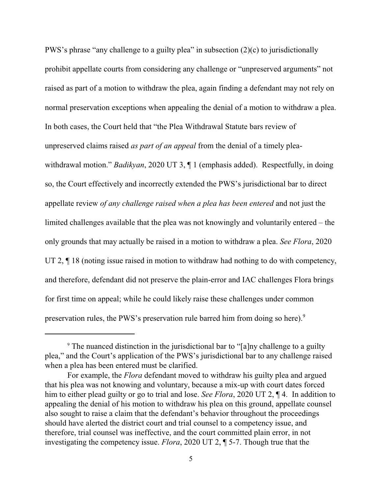PWS's phrase "any challenge to a guilty plea" in subsection (2)(c) to jurisdictionally prohibit appellate courts from considering any challenge or "unpreserved arguments" not raised as part of a motion to withdraw the plea, again finding a defendant may not rely on normal preservation exceptions when appealing the denial of a motion to withdraw a plea. In both cases, the Court held that "the Plea Withdrawal Statute bars review of unpreserved claims raised *as part of an appeal* from the denial of a timely pleawithdrawal motion." *Badikyan*, 2020 UT 3, ¶ 1 (emphasis added). Respectfully, in doing so, the Court effectively and incorrectly extended the PWS's jurisdictional bar to direct appellate review *of any challenge raised when a plea has been entered* and not just the limited challenges available that the plea was not knowingly and voluntarily entered – the only grounds that may actually be raised in a motion to withdraw a plea. *See Flora*, 2020 UT 2,  $\P$  18 (noting issue raised in motion to withdraw had nothing to do with competency, and therefore, defendant did not preserve the plain-error and IAC challenges Flora brings for first time on appeal; while he could likely raise these challenges under common preservation rules, the PWS's preservation rule barred him from doing so here).<sup>9</sup>

<sup>&</sup>lt;sup>9</sup> The nuanced distinction in the jurisdictional bar to "[a]ny challenge to a guilty plea," and the Court's application of the PWS's jurisdictional bar to any challenge raised when a plea has been entered must be clarified.

For example, the *Flora* defendant moved to withdraw his guilty plea and argued that his plea was not knowing and voluntary, because a mix-up with court dates forced him to either plead guilty or go to trial and lose. *See Flora*, 2020 UT 2, ¶ 4. In addition to appealing the denial of his motion to withdraw his plea on this ground, appellate counsel also sought to raise a claim that the defendant's behavior throughout the proceedings should have alerted the district court and trial counsel to a competency issue, and therefore, trial counsel was ineffective, and the court committed plain error, in not investigating the competency issue. *Flora*, 2020 UT 2, ¶ 5-7. Though true that the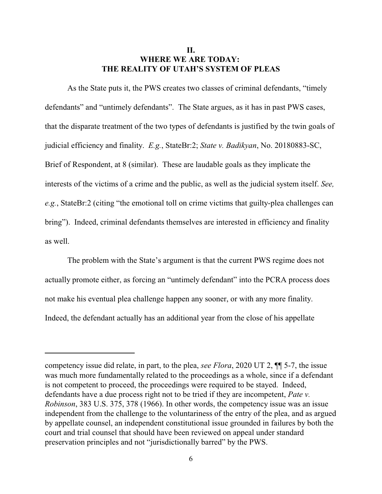### **II. WHERE WE ARE TODAY: THE REALITY OF UTAH'S SYSTEM OF PLEAS**

As the State puts it, the PWS creates two classes of criminal defendants, "timely defendants" and "untimely defendants". The State argues, as it has in past PWS cases, that the disparate treatment of the two types of defendants is justified by the twin goals of judicial efficiency and finality. *E.g.*, StateBr:2; *State v. Badikyan*, No. 20180883-SC, Brief of Respondent, at 8 (similar). These are laudable goals as they implicate the interests of the victims of a crime and the public, as well as the judicial system itself. *See, e.g.*, StateBr:2 (citing "the emotional toll on crime victims that guilty-plea challenges can bring"). Indeed, criminal defendants themselves are interested in efficiency and finality as well.

The problem with the State's argument is that the current PWS regime does not actually promote either, as forcing an "untimely defendant" into the PCRA process does not make his eventual plea challenge happen any sooner, or with any more finality. Indeed, the defendant actually has an additional year from the close of his appellate

competency issue did relate, in part, to the plea, *see Flora*, 2020 UT 2, ¶¶ 5-7, the issue was much more fundamentally related to the proceedings as a whole, since if a defendant is not competent to proceed, the proceedings were required to be stayed. Indeed, defendants have a due process right not to be tried if they are incompetent, *Pate v. Robinson*, 383 U.S. 375, 378 (1966). In other words, the competency issue was an issue independent from the challenge to the voluntariness of the entry of the plea, and as argued by appellate counsel, an independent constitutional issue grounded in failures by both the court and trial counsel that should have been reviewed on appeal under standard preservation principles and not "jurisdictionally barred" by the PWS.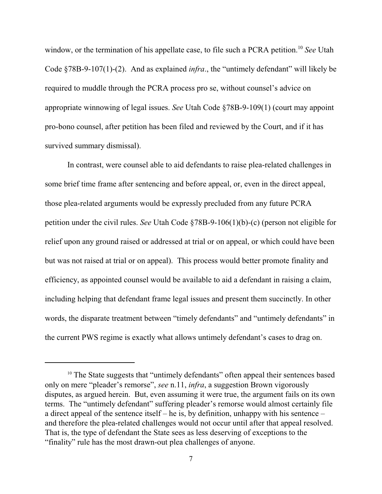window, or the termination of his appellate case, to file such a PCRA petition.<sup>10</sup> *See* Utah Code §78B-9-107(1)-(2). And as explained *infra*., the "untimely defendant" will likely be required to muddle through the PCRA process pro se, without counsel's advice on appropriate winnowing of legal issues. *See* Utah Code §78B-9-109(1) (court may appoint pro-bono counsel, after petition has been filed and reviewed by the Court, and if it has survived summary dismissal).

In contrast, were counsel able to aid defendants to raise plea-related challenges in some brief time frame after sentencing and before appeal, or, even in the direct appeal, those plea-related arguments would be expressly precluded from any future PCRA petition under the civil rules. *See* Utah Code §78B-9-106(1)(b)-(c) (person not eligible for relief upon any ground raised or addressed at trial or on appeal, or which could have been but was not raised at trial or on appeal). This process would better promote finality and efficiency, as appointed counsel would be available to aid a defendant in raising a claim, including helping that defendant frame legal issues and present them succinctly. In other words, the disparate treatment between "timely defendants" and "untimely defendants" in the current PWS regime is exactly what allows untimely defendant's cases to drag on.

<sup>&</sup>lt;sup>10</sup> The State suggests that "untimely defendants" often appeal their sentences based only on mere "pleader's remorse", *see* n.11, *infra*, a suggestion Brown vigorously disputes, as argued herein. But, even assuming it were true, the argument fails on its own terms. The "untimely defendant" suffering pleader's remorse would almost certainly file a direct appeal of the sentence itself – he is, by definition, unhappy with his sentence – and therefore the plea-related challenges would not occur until after that appeal resolved. That is, the type of defendant the State sees as less deserving of exceptions to the "finality" rule has the most drawn-out plea challenges of anyone.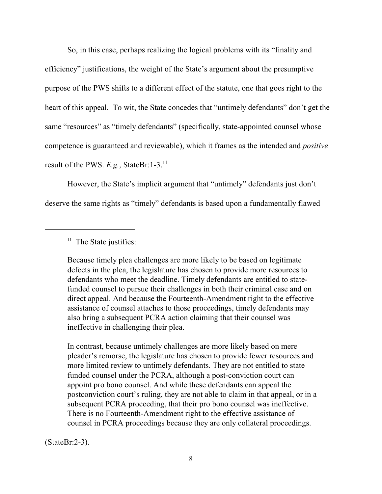So, in this case, perhaps realizing the logical problems with its "finality and efficiency" justifications, the weight of the State's argument about the presumptive purpose of the PWS shifts to a different effect of the statute, one that goes right to the heart of this appeal. To wit, the State concedes that "untimely defendants" don't get the same "resources" as "timely defendants" (specifically, state-appointed counsel whose competence is guaranteed and reviewable), which it frames as the intended and *positive* result of the PWS. *E.g.*, StateBr:1-3.<sup>11</sup>

However, the State's implicit argument that "untimely" defendants just don't deserve the same rights as "timely" defendants is based upon a fundamentally flawed

Because timely plea challenges are more likely to be based on legitimate defects in the plea, the legislature has chosen to provide more resources to defendants who meet the deadline. Timely defendants are entitled to statefunded counsel to pursue their challenges in both their criminal case and on direct appeal. And because the Fourteenth-Amendment right to the effective assistance of counsel attaches to those proceedings, timely defendants may also bring a subsequent PCRA action claiming that their counsel was ineffective in challenging their plea.

In contrast, because untimely challenges are more likely based on mere pleader's remorse, the legislature has chosen to provide fewer resources and more limited review to untimely defendants. They are not entitled to state funded counsel under the PCRA, although a post-conviction court can appoint pro bono counsel. And while these defendants can appeal the postconviction court's ruling, they are not able to claim in that appeal, or in a subsequent PCRA proceeding, that their pro bono counsel was ineffective. There is no Fourteenth-Amendment right to the effective assistance of counsel in PCRA proceedings because they are only collateral proceedings.

(StateBr:2-3).

<sup>&</sup>lt;sup>11</sup> The State justifies: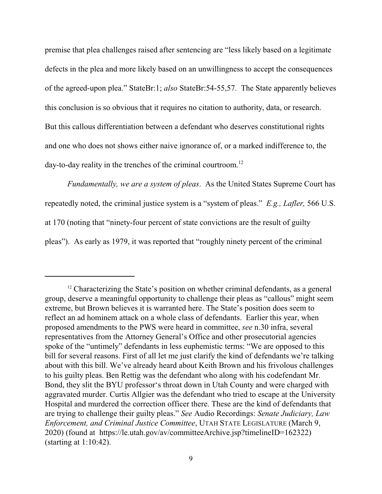premise that plea challenges raised after sentencing are "less likely based on a legitimate defects in the plea and more likely based on an unwillingness to accept the consequences of the agreed-upon plea." StateBr:1; *also* StateBr:54-55,57. The State apparently believes this conclusion is so obvious that it requires no citation to authority, data, or research. But this callous differentiation between a defendant who deserves constitutional rights and one who does not shows either naive ignorance of, or a marked indifference to, the day-to-day reality in the trenches of the criminal courtroom.<sup>12</sup>

*Fundamentally, we are a system of pleas*. As the United States Supreme Court has repeatedly noted, the criminal justice system is a "system of pleas." *E.g., Lafler,* 566 U.S. at 170 (noting that "ninety-four percent of state convictions are the result of guilty pleas"). As early as 1979, it was reported that "roughly ninety percent of the criminal

<sup>&</sup>lt;sup>12</sup> Characterizing the State's position on whether criminal defendants, as a general group, deserve a meaningful opportunity to challenge their pleas as "callous" might seem extreme, but Brown believes it is warranted here. The State's position does seem to reflect an ad hominem attack on a whole class of defendants. Earlier this year, when proposed amendments to the PWS were heard in committee, *see* n.30 infra, several representatives from the Attorney General's Office and other prosecutorial agencies spoke of the "untimely" defendants in less euphemistic terms: "We are opposed to this bill for several reasons. First of all let me just clarify the kind of defendants we're talking about with this bill. We've already heard about Keith Brown and his frivolous challenges to his guilty pleas. Ben Rettig was the defendant who along with his codefendant Mr. Bond, they slit the BYU professor's throat down in Utah County and were charged with aggravated murder. Curtis Allgier was the defendant who tried to escape at the University Hospital and murdered the correction officer there. These are the kind of defendants that are trying to challenge their guilty pleas." *See* Audio Recordings: *Senate Judiciary, Law Enforcement, and Criminal Justice Committee*, UTAH STATE LEGISLATURE (March 9, 2020) (found at https://le.utah.gov/av/committeeArchive.jsp?timelineID=162322) (starting at 1:10:42).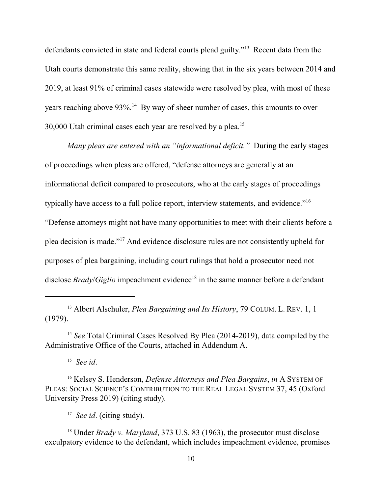defendants convicted in state and federal courts plead guilty."<sup>13</sup> Recent data from the Utah courts demonstrate this same reality, showing that in the six years between 2014 and 2019, at least 91% of criminal cases statewide were resolved by plea, with most of these years reaching above 93%.<sup>14</sup> By way of sheer number of cases, this amounts to over 30,000 Utah criminal cases each year are resolved by a plea.<sup>15</sup>

*Many pleas are entered with an "informational deficit."* During the early stages of proceedings when pleas are offered, "defense attorneys are generally at an informational deficit compared to prosecutors, who at the early stages of proceedings typically have access to a full police report, interview statements, and evidence."<sup>16</sup> "Defense attorneys might not have many opportunities to meet with their clients before a plea decision is made."<sup>17</sup> And evidence disclosure rules are not consistently upheld for purposes of plea bargaining, including court rulings that hold a prosecutor need not disclose *Brady*/*Giglio* impeachment evidence<sup>18</sup> in the same manner before a defendant

<sup>13</sup> Albert Alschuler, *Plea Bargaining and Its History*, 79 COLUM. L. REV. 1, 1 (1979).

<sup>15</sup> *See id*.

<sup>18</sup> Under *Brady v. Maryland*, 373 U.S. 83 (1963), the prosecutor must disclose exculpatory evidence to the defendant, which includes impeachment evidence, promises

<sup>&</sup>lt;sup>14</sup> *See* Total Criminal Cases Resolved By Plea (2014-2019), data compiled by the Administrative Office of the Courts, attached in Addendum A.

<sup>16</sup> Kelsey S. Henderson, *Defense Attorneys and Plea Bargains*, *in* A SYSTEM OF PLEAS: SOCIAL SCIENCE'S CONTRIBUTION TO THE REAL LEGAL SYSTEM 37, 45 (Oxford University Press 2019) (citing study).

<sup>17</sup> *See id*. (citing study).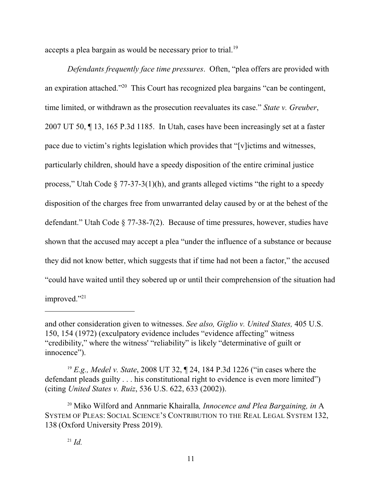accepts a plea bargain as would be necessary prior to trial.<sup>19</sup>

*Defendants frequently face time pressures*. Often, "plea offers are provided with an expiration attached."<sup>20</sup> This Court has recognized plea bargains "can be contingent, time limited, or withdrawn as the prosecution reevaluates its case." *State v. Greuber*, 2007 UT 50, ¶ 13, 165 P.3d 1185. In Utah, cases have been increasingly set at a faster pace due to victim's rights legislation which provides that "[v]ictims and witnesses, particularly children, should have a speedy disposition of the entire criminal justice process," Utah Code  $\S 77-37-3(1)(h)$ , and grants alleged victims "the right to a speedy disposition of the charges free from unwarranted delay caused by or at the behest of the defendant." Utah Code § 77-38-7(2). Because of time pressures, however, studies have shown that the accused may accept a plea "under the influence of a substance or because they did not know better, which suggests that if time had not been a factor," the accused "could have waited until they sobered up or until their comprehension of the situation had improved."<sup>21</sup>

and other consideration given to witnesses. *See also, Giglio v. United States,* 405 U.S. 150, 154 (1972) (exculpatory evidence includes "evidence affecting" witness "credibility," where the witness' "reliability" is likely "determinative of guilt or innocence").

<sup>19</sup> *E.g., Medel v. State*, 2008 UT 32, ¶ 24, 184 P.3d 1226 ("in cases where the defendant pleads guilty . . . his constitutional right to evidence is even more limited") (citing *United States v. Ruiz*, 536 U.S. 622, 633 (2002)).

<sup>20</sup> Miko Wilford and Annmarie Khairalla*, Innocence and Plea Bargaining, in* A SYSTEM OF PLEAS: SOCIAL SCIENCE'S CONTRIBUTION TO THE REAL LEGAL SYSTEM 132, 138 (Oxford University Press 2019).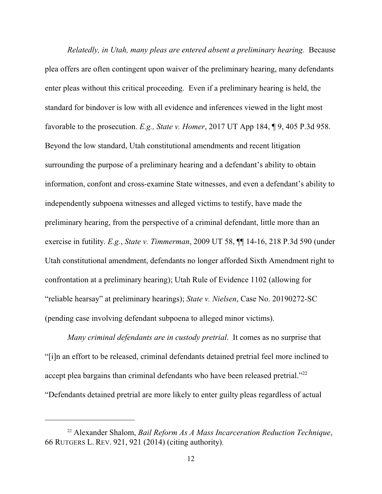*Relatedly, in Utah, many pleas are entered absent a preliminary hearing.* Because plea offers are often contingent upon waiver of the preliminary hearing, many defendants enter pleas without this critical proceeding. Even if a preliminary hearing is held, the standard for bindover is low with all evidence and inferences viewed in the light most favorable to the prosecution. *E.g., State v. Homer*, 2017 UT App 184, ¶ 9, 405 P.3d 958. Beyond the low standard, Utah constitutional amendments and recent litigation surrounding the purpose of a preliminary hearing and a defendant's ability to obtain information, confont and cross-examine State witnesses, and even a defendant's ability to independently subpoena witnesses and alleged victims to testify, have made the preliminary hearing, from the perspective of a criminal defendant, little more than an exercise in futility. *E.g.*, *State v. Timmerman*, 2009 UT 58, ¶¶ 14-16, 218 P.3d 590 (under Utah constitutional amendment, defendants no longer afforded Sixth Amendment right to confrontation at a preliminary hearing); Utah Rule of Evidence 1102 (allowing for "reliable hearsay" at preliminary hearings); *State v. Nielsen*, Case No. 20190272-SC (pending case involving defendant subpoena to alleged minor victims).

*Many criminal defendants are in custody pretrial*. It comes as no surprise that "[i]n an effort to be released, criminal defendants detained pretrial feel more inclined to accept plea bargains than criminal defendants who have been released pretrial."<sup>22</sup> "Defendants detained pretrial are more likely to enter guilty pleas regardless of actual

<sup>22</sup> Alexander Shalom, *Bail Reform As A Mass Incarceration Reduction Technique*, 66 RUTGERS L. REV. 921, 921 (2014) (citing authority).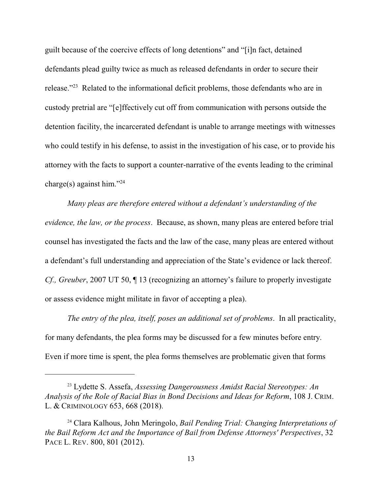guilt because of the coercive effects of long detentions" and "[i]n fact, detained defendants plead guilty twice as much as released defendants in order to secure their release."<sup>23</sup> Related to the informational deficit problems, those defendants who are in custody pretrial are "[e]ffectively cut off from communication with persons outside the detention facility, the incarcerated defendant is unable to arrange meetings with witnesses who could testify in his defense, to assist in the investigation of his case, or to provide his attorney with the facts to support a counter-narrative of the events leading to the criminal charge(s) against him."<sup>24</sup>

*Many pleas are therefore entered without a defendant's understanding of the evidence, the law, or the process*. Because, as shown, many pleas are entered before trial counsel has investigated the facts and the law of the case, many pleas are entered without a defendant's full understanding and appreciation of the State's evidence or lack thereof. *Cf., Greuber*, 2007 UT 50,  $\P$  13 (recognizing an attorney's failure to properly investigate or assess evidence might militate in favor of accepting a plea).

*The entry of the plea, itself, poses an additional set of problems*. In all practicality, for many defendants, the plea forms may be discussed for a few minutes before entry. Even if more time is spent, the plea forms themselves are problematic given that forms

<sup>23</sup> Lydette S. Assefa, *Assessing Dangerousness Amidst Racial Stereotypes: An Analysis of the Role of Racial Bias in Bond Decisions and Ideas for Reform*, 108 J. CRIM. L. & CRIMINOLOGY 653, 668 (2018).

<sup>24</sup> Clara Kalhous, John Meringolo, *Bail Pending Trial: Changing Interpretations of the Bail Reform Act and the Importance of Bail from Defense Attorneys' Perspectives*, 32 PACE L. REV. 800, 801 (2012).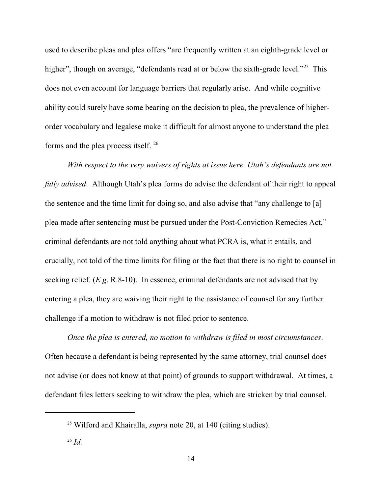used to describe pleas and plea offers "are frequently written at an eighth-grade level or higher", though on average, "defendants read at or below the sixth-grade level."<sup>25</sup> This does not even account for language barriers that regularly arise. And while cognitive ability could surely have some bearing on the decision to plea, the prevalence of higherorder vocabulary and legalese make it difficult for almost anyone to understand the plea forms and the plea process itself.<sup>26</sup>

*With respect to the very waivers of rights at issue here, Utah's defendants are not fully advised*. Although Utah's plea forms do advise the defendant of their right to appeal the sentence and the time limit for doing so, and also advise that "any challenge to [a] plea made after sentencing must be pursued under the Post-Conviction Remedies Act," criminal defendants are not told anything about what PCRA is, what it entails, and crucially, not told of the time limits for filing or the fact that there is no right to counsel in seeking relief. (*E.g*. R.8-10). In essence, criminal defendants are not advised that by entering a plea, they are waiving their right to the assistance of counsel for any further challenge if a motion to withdraw is not filed prior to sentence.

*Once the plea is entered, no motion to withdraw is filed in most circumstances*. Often because a defendant is being represented by the same attorney, trial counsel does not advise (or does not know at that point) of grounds to support withdrawal. At times, a defendant files letters seeking to withdraw the plea, which are stricken by trial counsel.

<sup>25</sup> Wilford and Khairalla, *supra* note 20, at 140 (citing studies).

<sup>26</sup> *Id.*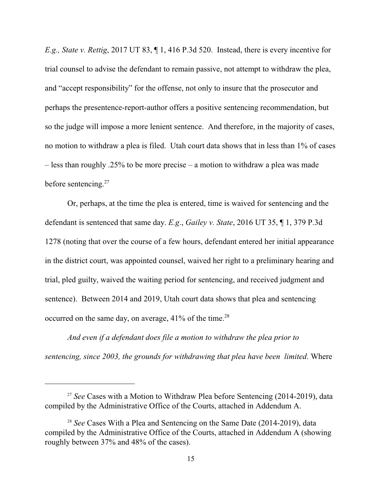*E.g., State v. Rettig*, 2017 UT 83, ¶ 1, 416 P.3d 520. Instead, there is every incentive for trial counsel to advise the defendant to remain passive, not attempt to withdraw the plea, and "accept responsibility" for the offense, not only to insure that the prosecutor and perhaps the presentence-report-author offers a positive sentencing recommendation, but so the judge will impose a more lenient sentence. And therefore, in the majority of cases, no motion to withdraw a plea is filed. Utah court data shows that in less than 1% of cases – less than roughly .25% to be more precise – a motion to withdraw a plea was made before sentencing.<sup>27</sup>

Or, perhaps, at the time the plea is entered, time is waived for sentencing and the defendant is sentenced that same day. *E.g*., *Gailey v. State*, 2016 UT 35, ¶ 1, 379 P.3d 1278 (noting that over the course of a few hours, defendant entered her initial appearance in the district court, was appointed counsel, waived her right to a preliminary hearing and trial, pled guilty, waived the waiting period for sentencing, and received judgment and sentence). Between 2014 and 2019, Utah court data shows that plea and sentencing occurred on the same day, on average,  $41\%$  of the time.<sup>28</sup>

*And even if a defendant does file a motion to withdraw the plea prior to sentencing, since 2003, the grounds for withdrawing that plea have been limited*. Where

<sup>&</sup>lt;sup>27</sup> See Cases with a Motion to Withdraw Plea before Sentencing (2014-2019), data compiled by the Administrative Office of the Courts, attached in Addendum A.

<sup>&</sup>lt;sup>28</sup> *See* Cases With a Plea and Sentencing on the Same Date (2014-2019), data compiled by the Administrative Office of the Courts, attached in Addendum A (showing roughly between 37% and 48% of the cases).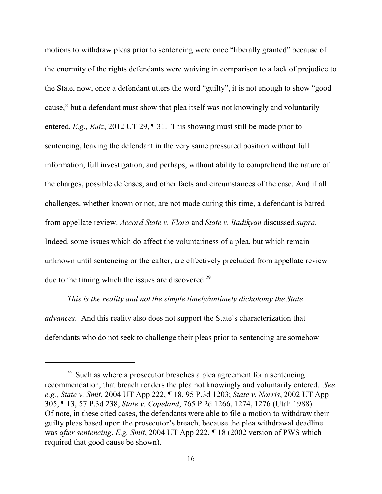motions to withdraw pleas prior to sentencing were once "liberally granted" because of the enormity of the rights defendants were waiving in comparison to a lack of prejudice to the State, now, once a defendant utters the word "guilty", it is not enough to show "good cause," but a defendant must show that plea itself was not knowingly and voluntarily entered. *E.g., Ruiz*, 2012 UT 29, ¶ 31. This showing must still be made prior to sentencing, leaving the defendant in the very same pressured position without full information, full investigation, and perhaps, without ability to comprehend the nature of the charges, possible defenses, and other facts and circumstances of the case. And if all challenges, whether known or not, are not made during this time, a defendant is barred from appellate review. *Accord State v. Flora* and *State v. Badikyan* discussed *supra*. Indeed, some issues which do affect the voluntariness of a plea, but which remain unknown until sentencing or thereafter, are effectively precluded from appellate review due to the timing which the issues are discovered.<sup>29</sup>

*This is the reality and not the simple timely/untimely dichotomy the State advances*. And this reality also does not support the State's characterization that defendants who do not seek to challenge their pleas prior to sentencing are somehow

<sup>&</sup>lt;sup>29</sup> Such as where a prosecutor breaches a plea agreement for a sentencing recommendation, that breach renders the plea not knowingly and voluntarily entered. *See e.g., State v. Smit*, 2004 UT App 222, ¶ 18, 95 P.3d 1203; *State v. Norris*, 2002 UT App 305, ¶ 13, 57 P.3d 238; *State v. Copeland*, 765 P.2d 1266, 1274, 1276 (Utah 1988). Of note, in these cited cases, the defendants were able to file a motion to withdraw their guilty pleas based upon the prosecutor's breach, because the plea withdrawal deadline was *after sentencing*. *E.g. Smit*, 2004 UT App 222, ¶ 18 (2002 version of PWS which required that good cause be shown).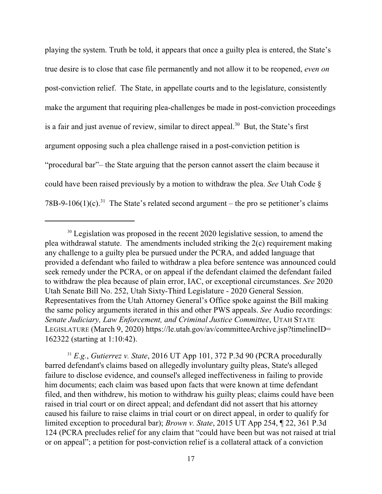playing the system. Truth be told, it appears that once a guilty plea is entered, the State's true desire is to close that case file permanently and not allow it to be reopened, *even on* post-conviction relief. The State, in appellate courts and to the legislature, consistently make the argument that requiring plea-challenges be made in post-conviction proceedings is a fair and just avenue of review, similar to direct appeal.<sup>30</sup> But, the State's first argument opposing such a plea challenge raised in a post-conviction petition is "procedural bar"– the State arguing that the person cannot assert the claim because it could have been raised previously by a motion to withdraw the plea. *See* Utah Code § 78B-9-106(1)(c).<sup>31</sup> The State's related second argument – the pro se petitioner's claims

<sup>31</sup> *E.g.*, *Gutierrez v. State*, 2016 UT App 101, 372 P.3d 90 (PCRA procedurally barred defendant's claims based on allegedly involuntary guilty pleas, State's alleged failure to disclose evidence, and counsel's alleged ineffectiveness in failing to provide him documents; each claim was based upon facts that were known at time defendant filed, and then withdrew, his motion to withdraw his guilty pleas; claims could have been raised in trial court or on direct appeal; and defendant did not assert that his attorney caused his failure to raise claims in trial court or on direct appeal, in order to qualify for limited exception to procedural bar); *Brown v. State*, 2015 UT App 254, ¶ 22, 361 P.3d 124 (PCRA precludes relief for any claim that "could have been but was not raised at trial or on appeal"; a petition for post-conviction relief is a collateral attack of a conviction

<sup>&</sup>lt;sup>30</sup> Legislation was proposed in the recent 2020 legislative session, to amend the plea withdrawal statute. The amendments included striking the 2(c) requirement making any challenge to a guilty plea be pursued under the PCRA, and added language that provided a defendant who failed to withdraw a plea before sentence was announced could seek remedy under the PCRA, or on appeal if the defendant claimed the defendant failed to withdraw the plea because of plain error, IAC, or exceptional circumstances. *See* 2020 Utah Senate Bill No. 252, Utah Sixty-Third Legislature - 2020 General Session. Representatives from the Utah Attorney General's Office spoke against the Bill making the same policy arguments iterated in this and other PWS appeals. *See* Audio recordings: *Senate Judiciary, Law Enforcement, and Criminal Justice Committee*, UTAH STATE LEGISLATURE (March 9, 2020) https://le.utah.gov/av/committeeArchive.jsp?timelineID= 162322 (starting at 1:10:42).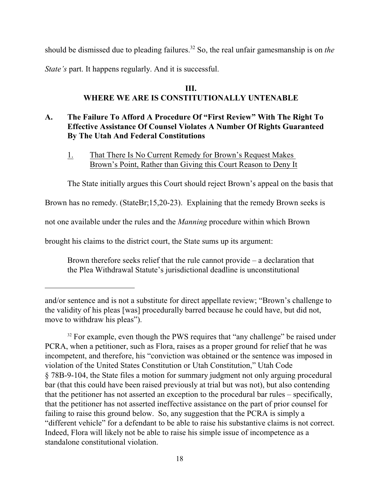should be dismissed due to pleading failures.<sup>32</sup> So, the real unfair gamesmanship is on *the* 

*State's* part. It happens regularly. And it is successful.

### **III. WHERE WE ARE IS CONSTITUTIONALLY UNTENABLE**

### **A. The Failure To Afford A Procedure Of "First Review" With The Right To Effective Assistance Of Counsel Violates A Number Of Rights Guaranteed By The Utah And Federal Constitutions**

1. That There Is No Current Remedy for Brown's Request Makes Brown's Point, Rather than Giving this Court Reason to Deny It

The State initially argues this Court should reject Brown's appeal on the basis that

Brown has no remedy. (StateBr;15,20-23). Explaining that the remedy Brown seeks is

not one available under the rules and the *Manning* procedure within which Brown

brought his claims to the district court, the State sums up its argument:

Brown therefore seeks relief that the rule cannot provide – a declaration that the Plea Withdrawal Statute's jurisdictional deadline is unconstitutional

and/or sentence and is not a substitute for direct appellate review; "Brown's challenge to the validity of his pleas [was] procedurally barred because he could have, but did not, move to withdraw his pleas").

<sup>&</sup>lt;sup>32</sup> For example, even though the PWS requires that "any challenge" be raised under PCRA, when a petitioner, such as Flora, raises as a proper ground for relief that he was incompetent, and therefore, his "conviction was obtained or the sentence was imposed in violation of the United States Constitution or Utah Constitution," Utah Code § 78B-9-104, the State files a motion for summary judgment not only arguing procedural bar (that this could have been raised previously at trial but was not), but also contending that the petitioner has not asserted an exception to the procedural bar rules – specifically, that the petitioner has not asserted ineffective assistance on the part of prior counsel for failing to raise this ground below. So, any suggestion that the PCRA is simply a "different vehicle" for a defendant to be able to raise his substantive claims is not correct. Indeed, Flora will likely not be able to raise his simple issue of incompetence as a standalone constitutional violation.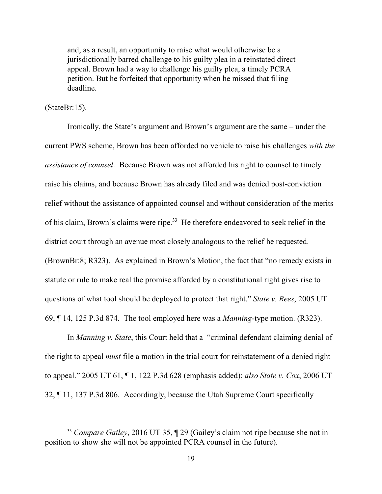and, as a result, an opportunity to raise what would otherwise be a jurisdictionally barred challenge to his guilty plea in a reinstated direct appeal. Brown had a way to challenge his guilty plea, a timely PCRA petition. But he forfeited that opportunity when he missed that filing deadline.

### (StateBr:15).

Ironically, the State's argument and Brown's argument are the same – under the current PWS scheme, Brown has been afforded no vehicle to raise his challenges *with the assistance of counsel*. Because Brown was not afforded his right to counsel to timely raise his claims, and because Brown has already filed and was denied post-conviction relief without the assistance of appointed counsel and without consideration of the merits of his claim, Brown's claims were ripe.<sup>33</sup> He therefore endeavored to seek relief in the district court through an avenue most closely analogous to the relief he requested. (BrownBr:8; R323). As explained in Brown's Motion, the fact that "no remedy exists in statute or rule to make real the promise afforded by a constitutional right gives rise to questions of what tool should be deployed to protect that right." *State v. Rees*, 2005 UT 69, ¶ 14, 125 P.3d 874. The tool employed here was a *Manning*-type motion. (R323).

In *Manning v. State*, this Court held that a "criminal defendant claiming denial of the right to appeal *must* file a motion in the trial court for reinstatement of a denied right to appeal." 2005 UT 61, ¶ 1, 122 P.3d 628 (emphasis added); *also State v. Cox*, 2006 UT 32, ¶ 11, 137 P.3d 806. Accordingly, because the Utah Supreme Court specifically

<sup>33</sup> *Compare Gailey*, 2016 UT 35, ¶ 29 (Gailey's claim not ripe because she not in position to show she will not be appointed PCRA counsel in the future).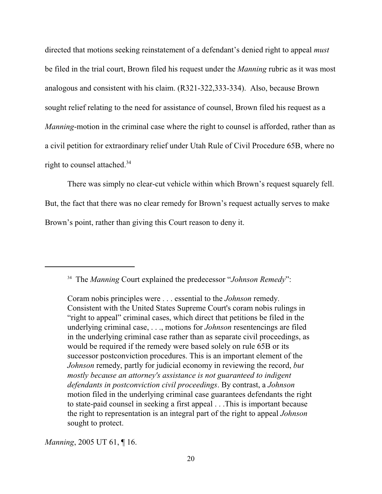directed that motions seeking reinstatement of a defendant's denied right to appeal *must* be filed in the trial court, Brown filed his request under the *Manning* rubric as it was most analogous and consistent with his claim. (R321-322,333-334). Also, because Brown sought relief relating to the need for assistance of counsel, Brown filed his request as a *Manning*-motion in the criminal case where the right to counsel is afforded, rather than as a civil petition for extraordinary relief under Utah Rule of Civil Procedure 65B, where no right to counsel attached.<sup>34</sup>

There was simply no clear-cut vehicle within which Brown's request squarely fell. But, the fact that there was no clear remedy for Brown's request actually serves to make Brown's point, rather than giving this Court reason to deny it.

34 The *Manning* Court explained the predecessor "*Johnson Remedy*":

*Manning*, 2005 UT 61, ¶ 16.

Coram nobis principles were . . . essential to the *Johnson* remedy. Consistent with the United States Supreme Court's coram nobis rulings in "right to appeal" criminal cases, which direct that petitions be filed in the underlying criminal case, . . ., motions for *Johnson* resentencings are filed in the underlying criminal case rather than as separate civil proceedings, as would be required if the remedy were based solely on rule 65B or its successor postconviction procedures. This is an important element of the *Johnson* remedy, partly for judicial economy in reviewing the record, *but mostly because an attorney's assistance is not guaranteed to indigent defendants in postconviction civil proceedings*. By contrast, a *Johnson* motion filed in the underlying criminal case guarantees defendants the right to state-paid counsel in seeking a first appeal . . .This is important because the right to representation is an integral part of the right to appeal *Johnson* sought to protect.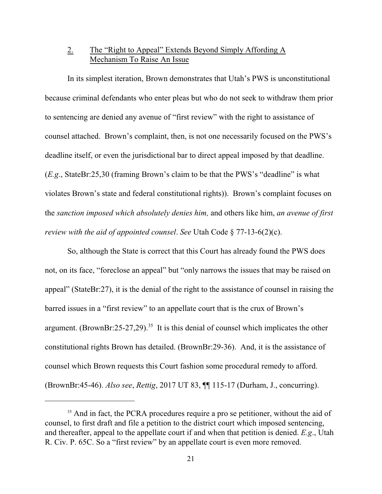### 2. The "Right to Appeal" Extends Beyond Simply Affording A Mechanism To Raise An Issue

In its simplest iteration, Brown demonstrates that Utah's PWS is unconstitutional because criminal defendants who enter pleas but who do not seek to withdraw them prior to sentencing are denied any avenue of "first review" with the right to assistance of counsel attached. Brown's complaint, then, is not one necessarily focused on the PWS's deadline itself, or even the jurisdictional bar to direct appeal imposed by that deadline. (*E.g*., StateBr:25,30 (framing Brown's claim to be that the PWS's "deadline" is what violates Brown's state and federal constitutional rights)). Brown's complaint focuses on the *sanction imposed which absolutely denies him,* and others like him, *an avenue of first review with the aid of appointed counsel*. *See* Utah Code § 77-13-6(2)(c).

So, although the State is correct that this Court has already found the PWS does not, on its face, "foreclose an appeal" but "only narrows the issues that may be raised on appeal" (StateBr:27), it is the denial of the right to the assistance of counsel in raising the barred issues in a "first review" to an appellate court that is the crux of Brown's argument. (BrownBr:25-27,29).<sup>35</sup> It is this denial of counsel which implicates the other constitutional rights Brown has detailed. (BrownBr:29-36). And, it is the assistance of counsel which Brown requests this Court fashion some procedural remedy to afford. (BrownBr:45-46). *Also see*, *Rettig*, 2017 UT 83, ¶¶ 115-17 (Durham, J., concurring).

<sup>&</sup>lt;sup>35</sup> And in fact, the PCRA procedures require a pro se petitioner, without the aid of counsel, to first draft and file a petition to the district court which imposed sentencing, and thereafter, appeal to the appellate court if and when that petition is denied. *E.g*., Utah R. Civ. P. 65C. So a "first review" by an appellate court is even more removed.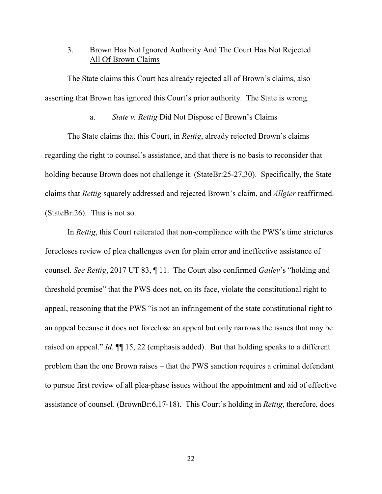### 3. Brown Has Not Ignored Authority And The Court Has Not Rejected All Of Brown Claims

The State claims this Court has already rejected all of Brown's claims, also asserting that Brown has ignored this Court's prior authority. The State is wrong.

a. *State v. Rettig* Did Not Dispose of Brown's Claims

The State claims that this Court, in *Rettig*, already rejected Brown's claims regarding the right to counsel's assistance, and that there is no basis to reconsider that holding because Brown does not challenge it. (StateBr:25-27,30). Specifically, the State claims that *Rettig* squarely addressed and rejected Brown's claim, and *Allgier* reaffirmed. (StateBr:26). This is not so.

In *Rettig*, this Court reiterated that non-compliance with the PWS's time strictures forecloses review of plea challenges even for plain error and ineffective assistance of counsel. *See Rettig*, 2017 UT 83, ¶ 11. The Court also confirmed *Gailey*'s "holding and threshold premise" that the PWS does not, on its face, violate the constitutional right to appeal, reasoning that the PWS "is not an infringement of the state constitutional right to an appeal because it does not foreclose an appeal but only narrows the issues that may be raised on appeal." *Id*. ¶¶ 15, 22 (emphasis added). But that holding speaks to a different problem than the one Brown raises – that the PWS sanction requires a criminal defendant to pursue first review of all plea-phase issues without the appointment and aid of effective assistance of counsel. (BrownBr:6,17-18). This Court's holding in *Rettig*, therefore, does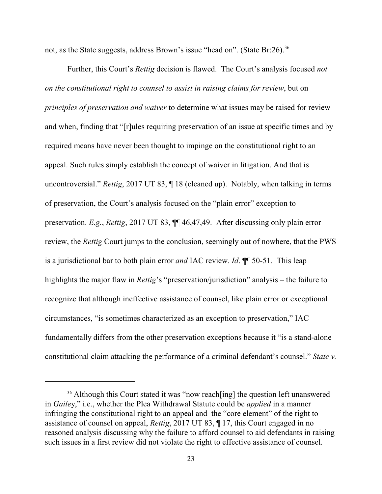not, as the State suggests, address Brown's issue "head on". (State Br:26).<sup>36</sup>

Further, this Court's *Rettig* decision is flawed. The Court's analysis focused *not on the constitutional right to counsel to assist in raising claims for review*, but on *principles of preservation and waiver* to determine what issues may be raised for review and when, finding that "[r]ules requiring preservation of an issue at specific times and by required means have never been thought to impinge on the constitutional right to an appeal. Such rules simply establish the concept of waiver in litigation. And that is uncontroversial." *Rettig*, 2017 UT 83, ¶ 18 (cleaned up). Notably, when talking in terms of preservation, the Court's analysis focused on the "plain error" exception to preservation. *E.g.*, *Rettig*, 2017 UT 83, ¶¶ 46,47,49. After discussing only plain error review, the *Rettig* Court jumps to the conclusion, seemingly out of nowhere, that the PWS is a jurisdictional bar to both plain error *and* IAC review. *Id*. ¶¶ 50-51. This leap highlights the major flaw in *Rettig*'s "preservation/jurisdiction" analysis – the failure to recognize that although ineffective assistance of counsel, like plain error or exceptional circumstances, "is sometimes characterized as an exception to preservation," IAC fundamentally differs from the other preservation exceptions because it "is a stand-alone constitutional claim attacking the performance of a criminal defendant's counsel." *State v.*

<sup>&</sup>lt;sup>36</sup> Although this Court stated it was "now reach [ing] the question left unanswered in *Gaile*y," i.e., whether the Plea Withdrawal Statute could be *applied* in a manner infringing the constitutional right to an appeal and the "core element" of the right to assistance of counsel on appeal, *Rettig*, 2017 UT 83, ¶ 17, this Court engaged in no reasoned analysis discussing why the failure to afford counsel to aid defendants in raising such issues in a first review did not violate the right to effective assistance of counsel.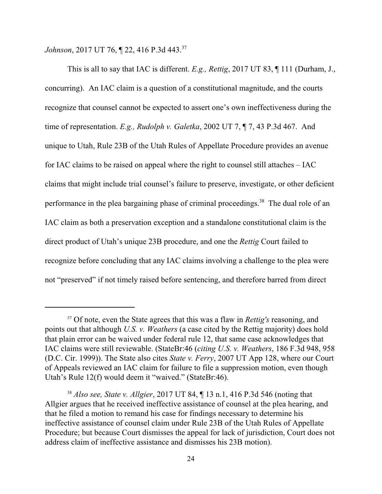Johnson, 2017 UT 76, **[22, 416 P.3d 443.**<sup>37</sup>

This is all to say that IAC is different. *E.g., Rettig*, 2017 UT 83, ¶ 111 (Durham, J., concurring). An IAC claim is a question of a constitutional magnitude, and the courts recognize that counsel cannot be expected to assert one's own ineffectiveness during the time of representation. *E.g., Rudolph v. Galetka*, 2002 UT 7, ¶ 7, 43 P.3d 467. And unique to Utah, Rule 23B of the Utah Rules of Appellate Procedure provides an avenue for IAC claims to be raised on appeal where the right to counsel still attaches – IAC claims that might include trial counsel's failure to preserve, investigate, or other deficient performance in the plea bargaining phase of criminal proceedings.<sup>38</sup> The dual role of an IAC claim as both a preservation exception and a standalone constitutional claim is the direct product of Utah's unique 23B procedure, and one the *Rettig* Court failed to recognize before concluding that any IAC claims involving a challenge to the plea were not "preserved" if not timely raised before sentencing, and therefore barred from direct

<sup>37</sup> Of note, even the State agrees that this was a flaw in *Rettig's* reasoning, and points out that although *U.S. v. Weathers* (a case cited by the Rettig majority) does hold that plain error can be waived under federal rule 12, that same case acknowledges that IAC claims were still reviewable. (StateBr:46 (*citing U.S. v. Weathers*, 186 F.3d 948, 958 (D.C. Cir. 1999)). The State also cites *State v. Ferry*, 2007 UT App 128, where our Court of Appeals reviewed an IAC claim for failure to file a suppression motion, even though Utah's Rule 12(f) would deem it "waived." (StateBr:46).

<sup>38</sup> *Also see, State v. Allgier*, 2017 UT 84, ¶ 13 n.1, 416 P.3d 546 (noting that Allgier argues that he received ineffective assistance of counsel at the plea hearing, and that he filed a motion to remand his case for findings necessary to determine his ineffective assistance of counsel claim under Rule 23B of the Utah Rules of Appellate Procedure; but because Court dismisses the appeal for lack of jurisdiction, Court does not address claim of ineffective assistance and dismisses his 23B motion).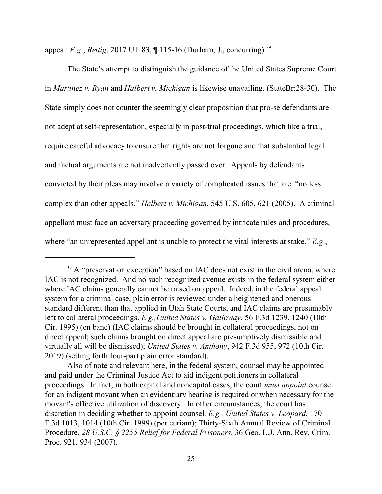appeal. *E.g*., *Rettig*, 2017 UT 83, ¶ 115-16 (Durham, J., concurring).<sup>39</sup>

The State's attempt to distinguish the guidance of the United States Supreme Court in *Martinez v. Ryan* and *Halbert v. Michigan* is likewise unavailing. (StateBr:28-30). The State simply does not counter the seemingly clear proposition that pro-se defendants are not adept at self-representation, especially in post-trial proceedings, which like a trial, require careful advocacy to ensure that rights are not forgone and that substantial legal and factual arguments are not inadvertently passed over. Appeals by defendants convicted by their pleas may involve a variety of complicated issues that are "no less complex than other appeals." *Halbert v. Michigan*, 545 U.S. 605, 621 (2005). A criminal appellant must face an adversary proceeding governed by intricate rules and procedures, where "an unrepresented appellant is unable to protect the vital interests at stake." *E.g*.,

<sup>&</sup>lt;sup>39</sup> A "preservation exception" based on IAC does not exist in the civil arena, where IAC is not recognized. And no such recognized avenue exists in the federal system either where IAC claims generally cannot be raised on appeal. Indeed, in the federal appeal system for a criminal case, plain error is reviewed under a heightened and onerous standard different than that applied in Utah State Courts, and IAC claims are presumably left to collateral proceedings. *E.g.,United States v. Galloway*, 56 F.3d 1239, 1240 (10th Cir. 1995) (en banc) (IAC claims should be brought in collateral proceedings, not on direct appeal; such claims brought on direct appeal are presumptively dismissible and virtually all will be dismissed); *United States v. Anthony*, 942 F.3d 955, 972 (10th Cir. 2019) (setting forth four-part plain error standard).

Also of note and relevant here, in the federal system, counsel may be appointed and paid under the Criminal Justice Act to aid indigent petitioners in collateral proceedings. In fact, in both capital and noncapital cases, the court *must appoint* counsel for an indigent movant when an evidentiary hearing is required or when necessary for the movant's effective utilization of discovery. In other circumstances, the court has discretion in deciding whether to appoint counsel. *E.g., United States v. Leopard*, 170 F.3d 1013, 1014 (10th Cir. 1999) (per curiam); Thirty-Sixth Annual Review of Criminal Procedure, *28 U.S.C. § 2255 Relief for Federal Prisoners*, 36 Geo. L.J. Ann. Rev. Crim. Proc. 921, 934 (2007).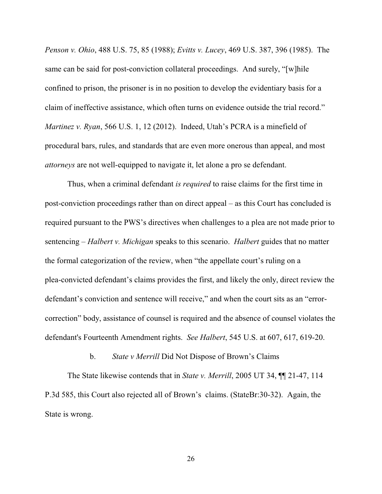*Penson v. Ohio*, 488 U.S. 75, 85 (1988); *Evitts v. Lucey*, 469 U.S. 387, 396 (1985). The same can be said for post-conviction collateral proceedings. And surely, "[w]hile confined to prison, the prisoner is in no position to develop the evidentiary basis for a claim of ineffective assistance, which often turns on evidence outside the trial record." *Martinez v. Ryan*, 566 U.S. 1, 12 (2012). Indeed, Utah's PCRA is a minefield of procedural bars, rules, and standards that are even more onerous than appeal, and most *attorneys* are not well-equipped to navigate it, let alone a pro se defendant.

Thus, when a criminal defendant *is required* to raise claims for the first time in post-conviction proceedings rather than on direct appeal – as this Court has concluded is required pursuant to the PWS's directives when challenges to a plea are not made prior to sentencing – *Halbert v. Michigan* speaks to this scenario. *Halbert* guides that no matter the formal categorization of the review, when "the appellate court's ruling on a plea-convicted defendant's claims provides the first, and likely the only, direct review the defendant's conviction and sentence will receive," and when the court sits as an "errorcorrection" body, assistance of counsel is required and the absence of counsel violates the defendant's Fourteenth Amendment rights. *See Halbert*, 545 U.S. at 607, 617, 619-20.

b. *State v Merrill* Did Not Dispose of Brown's Claims

The State likewise contends that in *State v. Merrill*, 2005 UT 34, ¶¶ 21-47, 114 P.3d 585, this Court also rejected all of Brown's claims. (StateBr:30-32). Again, the State is wrong.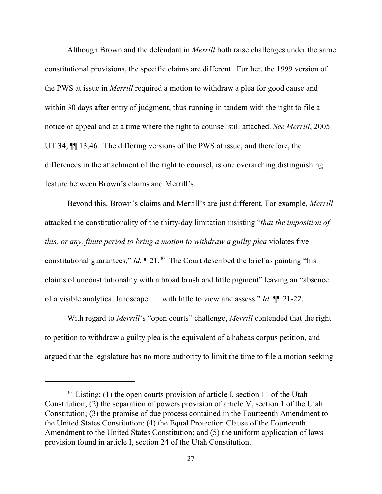Although Brown and the defendant in *Merrill* both raise challenges under the same constitutional provisions, the specific claims are different. Further, the 1999 version of the PWS at issue in *Merrill* required a motion to withdraw a plea for good cause and within 30 days after entry of judgment, thus running in tandem with the right to file a notice of appeal and at a time where the right to counsel still attached. *See Merrill*, 2005 UT 34, ¶¶ 13,46. The differing versions of the PWS at issue, and therefore, the differences in the attachment of the right to counsel, is one overarching distinguishing feature between Brown's claims and Merrill's.

Beyond this, Brown's claims and Merrill's are just different. For example, *Merrill* attacked the constitutionality of the thirty-day limitation insisting "*that the imposition of this, or any, finite period to bring a motion to withdraw a guilty plea* violates five constitutional guarantees," *Id.*  $\P$  21.<sup>40</sup> The Court described the brief as painting "his claims of unconstitutionality with a broad brush and little pigment" leaving an "absence of a visible analytical landscape . . . with little to view and assess." *Id.* ¶¶ 21-22.

With regard to *Merrill*'s "open courts" challenge, *Merrill* contended that the right to petition to withdraw a guilty plea is the equivalent of a habeas corpus petition, and argued that the legislature has no more authority to limit the time to file a motion seeking

<sup>&</sup>lt;sup>40</sup> Listing: (1) the open courts provision of article I, section 11 of the Utah Constitution; (2) the separation of powers provision of article V, section 1 of the Utah Constitution; (3) the promise of due process contained in the Fourteenth Amendment to the United States Constitution; (4) the Equal Protection Clause of the Fourteenth Amendment to the United States Constitution; and (5) the uniform application of laws provision found in article I, section 24 of the Utah Constitution.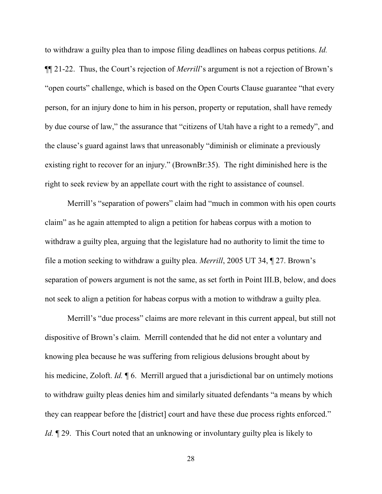to withdraw a guilty plea than to impose filing deadlines on habeas corpus petitions. *Id.* ¶¶ 21-22. Thus, the Court's rejection of *Merrill*'s argument is not a rejection of Brown's "open courts" challenge, which is based on the Open Courts Clause guarantee "that every person, for an injury done to him in his person, property or reputation, shall have remedy by due course of law," the assurance that "citizens of Utah have a right to a remedy", and the clause's guard against laws that unreasonably "diminish or eliminate a previously existing right to recover for an injury." (BrownBr:35). The right diminished here is the right to seek review by an appellate court with the right to assistance of counsel.

Merrill's "separation of powers" claim had "much in common with his open courts claim" as he again attempted to align a petition for habeas corpus with a motion to withdraw a guilty plea, arguing that the legislature had no authority to limit the time to file a motion seeking to withdraw a guilty plea. *Merrill*, 2005 UT 34, ¶ 27. Brown's separation of powers argument is not the same, as set forth in Point III.B, below, and does not seek to align a petition for habeas corpus with a motion to withdraw a guilty plea.

Merrill's "due process" claims are more relevant in this current appeal, but still not dispositive of Brown's claim. Merrill contended that he did not enter a voluntary and knowing plea because he was suffering from religious delusions brought about by his medicine, Zoloft. *Id.* ¶ 6. Merrill argued that a jurisdictional bar on untimely motions to withdraw guilty pleas denies him and similarly situated defendants "a means by which they can reappear before the [district] court and have these due process rights enforced." *Id.* 129. This Court noted that an unknowing or involuntary guilty plea is likely to

28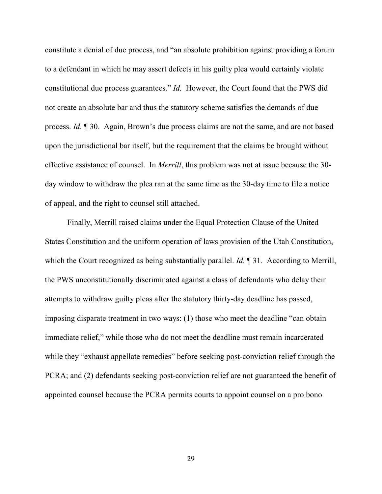constitute a denial of due process, and "an absolute prohibition against providing a forum to a defendant in which he may assert defects in his guilty plea would certainly violate constitutional due process guarantees." *Id.* However, the Court found that the PWS did not create an absolute bar and thus the statutory scheme satisfies the demands of due process. *Id.* ¶ 30. Again, Brown's due process claims are not the same, and are not based upon the jurisdictional bar itself, but the requirement that the claims be brought without effective assistance of counsel. In *Merrill*, this problem was not at issue because the 30 day window to withdraw the plea ran at the same time as the 30-day time to file a notice of appeal, and the right to counsel still attached.

Finally, Merrill raised claims under the Equal Protection Clause of the United States Constitution and the uniform operation of laws provision of the Utah Constitution, which the Court recognized as being substantially parallel. *Id.* 1 31. According to Merrill, the PWS unconstitutionally discriminated against a class of defendants who delay their attempts to withdraw guilty pleas after the statutory thirty-day deadline has passed, imposing disparate treatment in two ways: (1) those who meet the deadline "can obtain immediate relief," while those who do not meet the deadline must remain incarcerated while they "exhaust appellate remedies" before seeking post-conviction relief through the PCRA; and (2) defendants seeking post-conviction relief are not guaranteed the benefit of appointed counsel because the PCRA permits courts to appoint counsel on a pro bono

29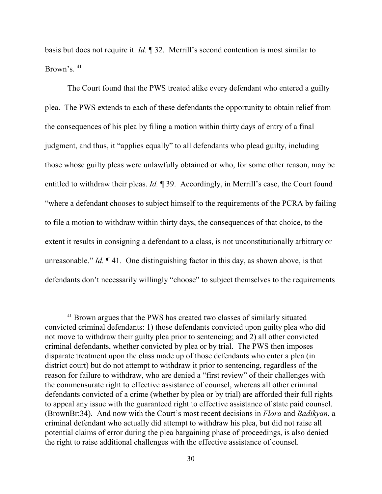basis but does not require it. *Id.* ¶ 32. Merrill's second contention is most similar to Brown's. <sup>41</sup>

The Court found that the PWS treated alike every defendant who entered a guilty plea. The PWS extends to each of these defendants the opportunity to obtain relief from the consequences of his plea by filing a motion within thirty days of entry of a final judgment, and thus, it "applies equally" to all defendants who plead guilty, including those whose guilty pleas were unlawfully obtained or who, for some other reason, may be entitled to withdraw their pleas. *Id.* ¶ 39. Accordingly, in Merrill's case, the Court found "where a defendant chooses to subject himself to the requirements of the PCRA by failing to file a motion to withdraw within thirty days, the consequences of that choice, to the extent it results in consigning a defendant to a class, is not unconstitutionally arbitrary or unreasonable." *Id.* ¶ 41. One distinguishing factor in this day, as shown above, is that defendants don't necessarily willingly "choose" to subject themselves to the requirements

<sup>&</sup>lt;sup>41</sup> Brown argues that the PWS has created two classes of similarly situated convicted criminal defendants: 1) those defendants convicted upon guilty plea who did not move to withdraw their guilty plea prior to sentencing; and 2) all other convicted criminal defendants, whether convicted by plea or by trial. The PWS then imposes disparate treatment upon the class made up of those defendants who enter a plea (in district court) but do not attempt to withdraw it prior to sentencing, regardless of the reason for failure to withdraw, who are denied a "first review" of their challenges with the commensurate right to effective assistance of counsel, whereas all other criminal defendants convicted of a crime (whether by plea or by trial) are afforded their full rights to appeal any issue with the guaranteed right to effective assistance of state paid counsel. (BrownBr:34). And now with the Court's most recent decisions in *Flora* and *Badikyan*, a criminal defendant who actually did attempt to withdraw his plea, but did not raise all potential claims of error during the plea bargaining phase of proceedings, is also denied the right to raise additional challenges with the effective assistance of counsel.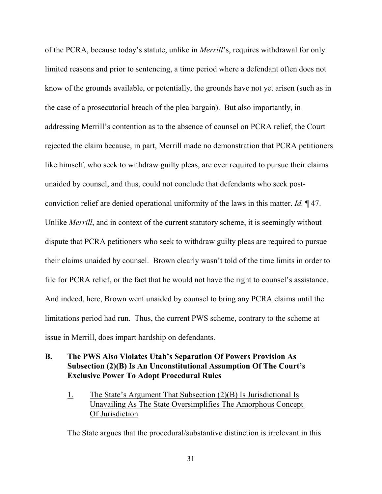of the PCRA, because today's statute, unlike in *Merrill*'s, requires withdrawal for only limited reasons and prior to sentencing, a time period where a defendant often does not know of the grounds available, or potentially, the grounds have not yet arisen (such as in the case of a prosecutorial breach of the plea bargain). But also importantly, in addressing Merrill's contention as to the absence of counsel on PCRA relief, the Court rejected the claim because, in part, Merrill made no demonstration that PCRA petitioners like himself, who seek to withdraw guilty pleas, are ever required to pursue their claims unaided by counsel, and thus, could not conclude that defendants who seek postconviction relief are denied operational uniformity of the laws in this matter. *Id.* ¶ 47. Unlike *Merrill*, and in context of the current statutory scheme, it is seemingly without dispute that PCRA petitioners who seek to withdraw guilty pleas are required to pursue their claims unaided by counsel. Brown clearly wasn't told of the time limits in order to file for PCRA relief, or the fact that he would not have the right to counsel's assistance. And indeed, here, Brown went unaided by counsel to bring any PCRA claims until the limitations period had run. Thus, the current PWS scheme, contrary to the scheme at issue in Merrill, does impart hardship on defendants.

### **B. The PWS Also Violates Utah's Separation Of Powers Provision As Subsection (2)(B) Is An Unconstitutional Assumption Of The Court's Exclusive Power To Adopt Procedural Rules**

1. The State's Argument That Subsection (2)(B) Is Jurisdictional Is Unavailing As The State Oversimplifies The Amorphous Concept Of Jurisdiction

The State argues that the procedural/substantive distinction is irrelevant in this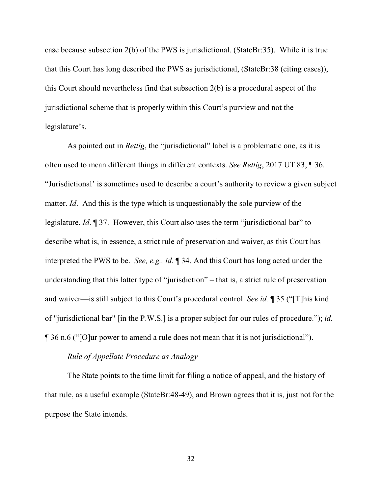case because subsection 2(b) of the PWS is jurisdictional. (StateBr:35). While it is true that this Court has long described the PWS as jurisdictional, (StateBr:38 (citing cases)), this Court should nevertheless find that subsection 2(b) is a procedural aspect of the jurisdictional scheme that is properly within this Court's purview and not the legislature's.

As pointed out in *Rettig*, the "jurisdictional" label is a problematic one, as it is often used to mean different things in different contexts. *See Rettig*, 2017 UT 83, ¶ 36. "Jurisdictional' is sometimes used to describe a court's authority to review a given subject matter. *Id*. And this is the type which is unquestionably the sole purview of the legislature. *Id*. ¶ 37. However, this Court also uses the term "jurisdictional bar" to describe what is, in essence, a strict rule of preservation and waiver, as this Court has interpreted the PWS to be. *See, e.g., id*. ¶ 34. And this Court has long acted under the understanding that this latter type of "jurisdiction" – that is, a strict rule of preservation and waiver—is still subject to this Court's procedural control. *See id.* ¶ 35 ("[T]his kind of "jurisdictional bar" [in the P.W.S.] is a proper subject for our rules of procedure."); *id*. ¶ 36 n.6 ("[O]ur power to amend a rule does not mean that it is not jurisdictional").

### *Rule of Appellate Procedure as Analogy*

The State points to the time limit for filing a notice of appeal, and the history of that rule, as a useful example (StateBr:48-49), and Brown agrees that it is, just not for the purpose the State intends.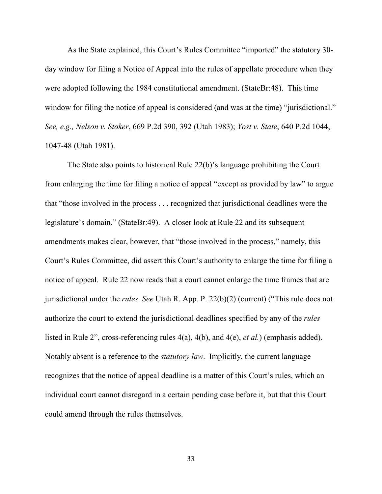As the State explained, this Court's Rules Committee "imported" the statutory 30 day window for filing a Notice of Appeal into the rules of appellate procedure when they were adopted following the 1984 constitutional amendment. (StateBr:48). This time window for filing the notice of appeal is considered (and was at the time) "jurisdictional." *See, e.g., Nelson v. Stoker*, 669 P.2d 390, 392 (Utah 1983); *Yost v. State*, 640 P.2d 1044, 1047-48 (Utah 1981).

The State also points to historical Rule 22(b)'s language prohibiting the Court from enlarging the time for filing a notice of appeal "except as provided by law" to argue that "those involved in the process . . . recognized that jurisdictional deadlines were the legislature's domain." (StateBr:49). A closer look at Rule 22 and its subsequent amendments makes clear, however, that "those involved in the process," namely, this Court's Rules Committee, did assert this Court's authority to enlarge the time for filing a notice of appeal. Rule 22 now reads that a court cannot enlarge the time frames that are jurisdictional under the *rules*. *See* Utah R. App. P. 22(b)(2) (current) ("This rule does not authorize the court to extend the jurisdictional deadlines specified by any of the *rules* listed in Rule 2", cross-referencing rules 4(a), 4(b), and 4(e), *et al.*) (emphasis added). Notably absent is a reference to the *statutory law*. Implicitly, the current language recognizes that the notice of appeal deadline is a matter of this Court's rules, which an individual court cannot disregard in a certain pending case before it, but that this Court could amend through the rules themselves.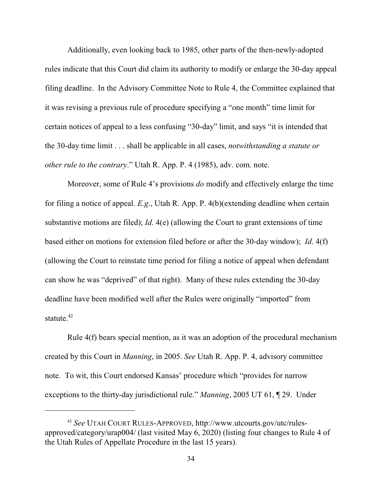Additionally, even looking back to 1985, other parts of the then-newly-adopted rules indicate that this Court did claim its authority to modify or enlarge the 30-day appeal filing deadline. In the Advisory Committee Note to Rule 4, the Committee explained that it was revising a previous rule of procedure specifying a "one month" time limit for certain notices of appeal to a less confusing "30-day" limit, and says "it is intended that the 30-day time limit . . . shall be applicable in all cases, *notwithstanding a statute or other rule to the contrary*." Utah R. App. P. 4 (1985), adv. com. note.

Moreover, some of Rule 4's provisions *do* modify and effectively enlarge the time for filing a notice of appeal. *E.g*., Utah R. App. P. 4(b)(extending deadline when certain substantive motions are filed); *Id*. 4(e) (allowing the Court to grant extensions of time based either on motions for extension filed before or after the 30-day window); *Id*. 4(f) (allowing the Court to reinstate time period for filing a notice of appeal when defendant can show he was "deprived" of that right). Many of these rules extending the 30-day deadline have been modified well after the Rules were originally "imported" from statute. $42$ 

Rule 4(f) bears special mention, as it was an adoption of the procedural mechanism created by this Court in *Manning*, in 2005. *See* Utah R. App. P. 4, advisory committee note. To wit, this Court endorsed Kansas' procedure which "provides for narrow exceptions to the thirty-day jurisdictional rule." *Manning*, 2005 UT 61, ¶ 29. Under

<sup>42</sup> *See* UTAH COURT RULES-APPROVED, http://www.utcourts.gov/utc/rulesapproved/category/urap004/ (last visited May 6, 2020) (listing four changes to Rule 4 of the Utah Rules of Appellate Procedure in the last 15 years).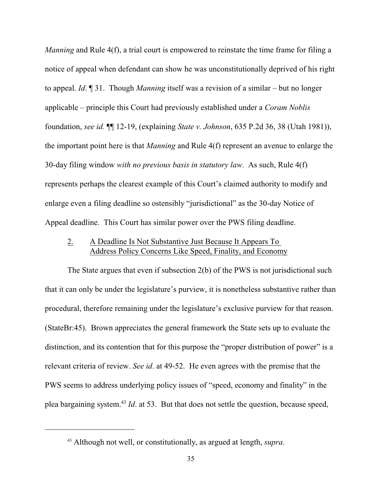*Manning* and Rule 4(f), a trial court is empowered to reinstate the time frame for filing a notice of appeal when defendant can show he was unconstitutionally deprived of his right to appeal. *Id*. ¶ 31. Though *Manning* itself was a revision of a similar – but no longer applicable – principle this Court had previously established under a *Coram Noblis* foundation, *see id.* ¶¶ 12-19, (explaining *State v. Johnson*, 635 P.2d 36, 38 (Utah 1981)), the important point here is that *Manning* and Rule 4(f) represent an avenue to enlarge the 30-day filing window *with no previous basis in statutory law*. As such, Rule 4(f) represents perhaps the clearest example of this Court's claimed authority to modify and enlarge even a filing deadline so ostensibly "jurisdictional" as the 30-day Notice of Appeal deadline. This Court has similar power over the PWS filing deadline.

### 2. A Deadline Is Not Substantive Just Because It Appears To Address Policy Concerns Like Speed, Finality, and Economy

The State argues that even if subsection 2(b) of the PWS is not jurisdictional such that it can only be under the legislature's purview, it is nonetheless substantive rather than procedural, therefore remaining under the legislature's exclusive purview for that reason. (StateBr:45). Brown appreciates the general framework the State sets up to evaluate the distinction, and its contention that for this purpose the "proper distribution of power" is a relevant criteria of review. *See id*. at 49-52. He even agrees with the premise that the PWS seems to address underlying policy issues of "speed, economy and finality" in the plea bargaining system. <sup>43</sup> *Id*. at 53. But that does not settle the question, because speed,

<sup>43</sup> Although not well, or constitutionally, as argued at length, *supra*.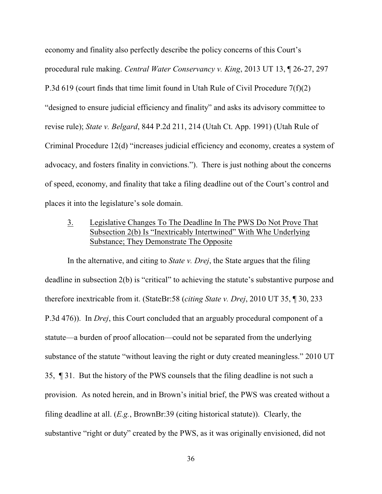economy and finality also perfectly describe the policy concerns of this Court's procedural rule making. *Central Water Conservancy v. King*, 2013 UT 13, ¶ 26-27, 297 P.3d 619 (court finds that time limit found in Utah Rule of Civil Procedure 7(f)(2) "designed to ensure judicial efficiency and finality" and asks its advisory committee to revise rule); *State v. Belgard*, 844 P.2d 211, 214 (Utah Ct. App. 1991) (Utah Rule of Criminal Procedure 12(d) "increases judicial efficiency and economy, creates a system of advocacy, and fosters finality in convictions."). There is just nothing about the concerns of speed, economy, and finality that take a filing deadline out of the Court's control and places it into the legislature's sole domain.

### 3. Legislative Changes To The Deadline In The PWS Do Not Prove That Subsection 2(b) Is "Inextricably Intertwined" With Whe Underlying Substance; They Demonstrate The Opposite

In the alternative, and citing to *State v. Drej*, the State argues that the filing deadline in subsection 2(b) is "critical" to achieving the statute's substantive purpose and therefore inextricable from it. (StateBr:58 (*citing State v. Drej*, 2010 UT 35, ¶ 30, 233 P.3d 476)). In *Drej*, this Court concluded that an arguably procedural component of a statute—a burden of proof allocation—could not be separated from the underlying substance of the statute "without leaving the right or duty created meaningless." 2010 UT 35, ¶ 31. But the history of the PWS counsels that the filing deadline is not such a provision. As noted herein, and in Brown's initial brief, the PWS was created without a filing deadline at all. (*E.g.*, BrownBr:39 (citing historical statute)). Clearly, the substantive "right or duty" created by the PWS, as it was originally envisioned, did not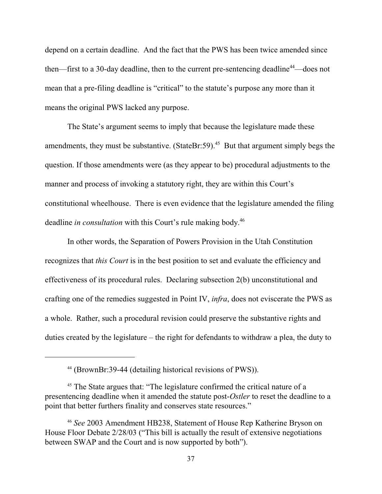depend on a certain deadline. And the fact that the PWS has been twice amended since then—first to a 30-day deadline, then to the current pre-sentencing deadline<sup>44</sup>—does not mean that a pre-filing deadline is "critical" to the statute's purpose any more than it means the original PWS lacked any purpose.

The State's argument seems to imply that because the legislature made these amendments, they must be substantive. (StateBr:59).<sup>45</sup> But that argument simply begs the question. If those amendments were (as they appear to be) procedural adjustments to the manner and process of invoking a statutory right, they are within this Court's constitutional wheelhouse. There is even evidence that the legislature amended the filing deadline *in consultation* with this Court's rule making body. 46

In other words, the Separation of Powers Provision in the Utah Constitution recognizes that *this Court* is in the best position to set and evaluate the efficiency and effectiveness of its procedural rules. Declaring subsection 2(b) unconstitutional and crafting one of the remedies suggested in Point IV, *infra*, does not eviscerate the PWS as a whole. Rather, such a procedural revision could preserve the substantive rights and duties created by the legislature – the right for defendants to withdraw a plea, the duty to

<sup>44</sup> (BrownBr:39-44 (detailing historical revisions of PWS)).

<sup>&</sup>lt;sup>45</sup> The State argues that: "The legislature confirmed the critical nature of a presentencing deadline when it amended the statute post-*Ostler* to reset the deadline to a point that better furthers finality and conserves state resources."

<sup>46</sup> *See* 2003 Amendment HB238, Statement of House Rep Katherine Bryson on House Floor Debate 2/28/03 ("This bill is actually the result of extensive negotiations between SWAP and the Court and is now supported by both").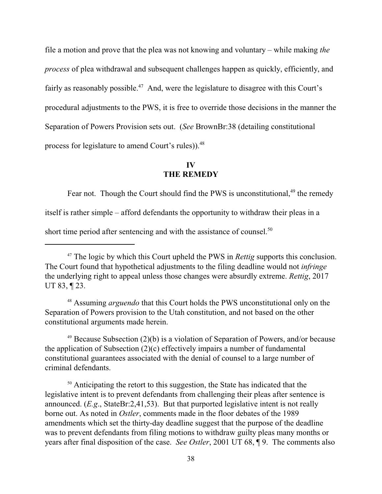file a motion and prove that the plea was not knowing and voluntary – while making *the process* of plea withdrawal and subsequent challenges happen as quickly, efficiently, and fairly as reasonably possible.<sup>47</sup> And, were the legislature to disagree with this Court's procedural adjustments to the PWS, it is free to override those decisions in the manner the Separation of Powers Provision sets out. (*See* BrownBr:38 (detailing constitutional process for legislature to amend Court's rules)).<sup>48</sup>

### **IV THE REMEDY**

Fear not. Though the Court should find the PWS is unconstitutional,<sup>49</sup> the remedy itself is rather simple – afford defendants the opportunity to withdraw their pleas in a short time period after sentencing and with the assistance of counsel.<sup>50</sup>

<sup>48</sup> Assuming *arguendo* that this Court holds the PWS unconstitutional only on the Separation of Powers provision to the Utah constitution, and not based on the other constitutional arguments made herein.

49 Because Subsection (2)(b) is a violation of Separation of Powers, and/or because the application of Subsection (2)(c) effectively impairs a number of fundamental constitutional guarantees associated with the denial of counsel to a large number of criminal defendants.

<sup>50</sup> Anticipating the retort to this suggestion, the State has indicated that the legislative intent is to prevent defendants from challenging their pleas after sentence is announced. (*E.g*., StateBr:2,41,53). But that purported legislative intent is not really borne out. As noted in *Ostler*, comments made in the floor debates of the 1989 amendments which set the thirty-day deadline suggest that the purpose of the deadline was to prevent defendants from filing motions to withdraw guilty pleas many months or years after final disposition of the case. *See Ostler*, 2001 UT 68, ¶ 9. The comments also

<sup>&</sup>lt;sup>47</sup> The logic by which this Court upheld the PWS in *Rettig* supports this conclusion. The Court found that hypothetical adjustments to the filing deadline would not *infringe* the underlying right to appeal unless those changes were absurdly extreme. *Rettig*, 2017 UT 83, ¶ 23.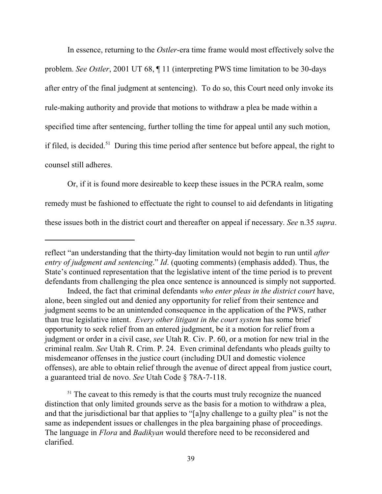In essence, returning to the *Ostler*-era time frame would most effectively solve the problem. *See Ostler*, 2001 UT 68, ¶ 11 (interpreting PWS time limitation to be 30-days after entry of the final judgment at sentencing). To do so, this Court need only invoke its rule-making authority and provide that motions to withdraw a plea be made within a specified time after sentencing, further tolling the time for appeal until any such motion, if filed, is decided.<sup>51</sup> During this time period after sentence but before appeal, the right to counsel still adheres.

Or, if it is found more desireable to keep these issues in the PCRA realm, some remedy must be fashioned to effectuate the right to counsel to aid defendants in litigating these issues both in the district court and thereafter on appeal if necessary. *See* n.35 *supra*.

reflect "an understanding that the thirty-day limitation would not begin to run until *after entry of judgment and sentencing*." *Id*. (quoting comments) (emphasis added). Thus, the State's continued representation that the legislative intent of the time period is to prevent defendants from challenging the plea once sentence is announced is simply not supported.

Indeed, the fact that criminal defendants *who enter pleas in the district court* have, alone, been singled out and denied any opportunity for relief from their sentence and judgment seems to be an unintended consequence in the application of the PWS, rather than true legislative intent. *Every other litigant in the court system* has some brief opportunity to seek relief from an entered judgment, be it a motion for relief from a judgment or order in a civil case, *see* Utah R. Civ. P. 60, or a motion for new trial in the criminal realm. *See* Utah R. Crim. P. 24. Even criminal defendants who pleads guilty to misdemeanor offenses in the justice court (including DUI and domestic violence offenses), are able to obtain relief through the avenue of direct appeal from justice court, a guaranteed trial de novo. *See* Utah Code § 78A-7-118.

<sup>&</sup>lt;sup>51</sup> The caveat to this remedy is that the courts must truly recognize the nuanced distinction that only limited grounds serve as the basis for a motion to withdraw a plea, and that the jurisdictional bar that applies to "[a]ny challenge to a guilty plea" is not the same as independent issues or challenges in the plea bargaining phase of proceedings. The language in *Flora* and *Badikyan* would therefore need to be reconsidered and clarified.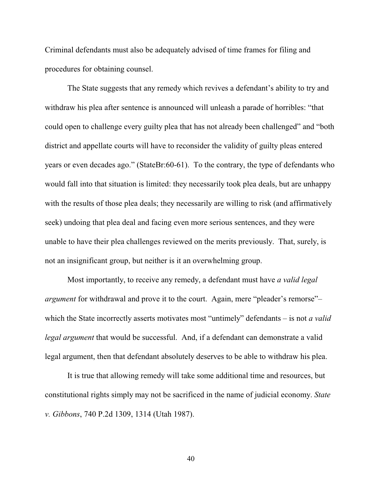Criminal defendants must also be adequately advised of time frames for filing and procedures for obtaining counsel.

The State suggests that any remedy which revives a defendant's ability to try and withdraw his plea after sentence is announced will unleash a parade of horribles: "that could open to challenge every guilty plea that has not already been challenged" and "both district and appellate courts will have to reconsider the validity of guilty pleas entered years or even decades ago." (StateBr:60-61). To the contrary, the type of defendants who would fall into that situation is limited: they necessarily took plea deals, but are unhappy with the results of those plea deals; they necessarily are willing to risk (and affirmatively seek) undoing that plea deal and facing even more serious sentences, and they were unable to have their plea challenges reviewed on the merits previously. That, surely, is not an insignificant group, but neither is it an overwhelming group.

Most importantly, to receive any remedy, a defendant must have *a valid legal argument* for withdrawal and prove it to the court. Again, mere "pleader's remorse"– which the State incorrectly asserts motivates most "untimely" defendants – is not *a valid legal argument* that would be successful. And, if a defendant can demonstrate a valid legal argument, then that defendant absolutely deserves to be able to withdraw his plea.

It is true that allowing remedy will take some additional time and resources, but constitutional rights simply may not be sacrificed in the name of judicial economy. *State v. Gibbons*, 740 P.2d 1309, 1314 (Utah 1987).

40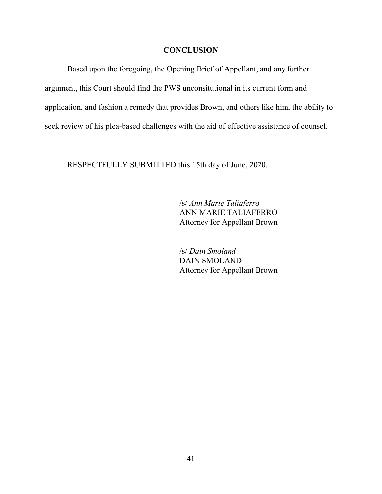### **CONCLUSION**

Based upon the foregoing, the Opening Brief of Appellant, and any further argument, this Court should find the PWS unconsitutional in its current form and application, and fashion a remedy that provides Brown, and others like him, the ability to seek review of his plea-based challenges with the aid of effective assistance of counsel.

RESPECTFULLY SUBMITTED this 15th day of June, 2020.

/s/ *Ann Marie Taliaferro*  ANN MARIE TALIAFERRO Attorney for Appellant Brown

/s/ *Dain Smoland* DAIN SMOLAND Attorney for Appellant Brown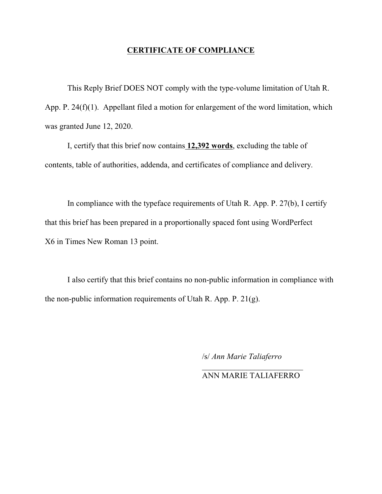### **CERTIFICATE OF COMPLIANCE**

This Reply Brief DOES NOT comply with the type-volume limitation of Utah R. App. P. 24(f)(1). Appellant filed a motion for enlargement of the word limitation, which was granted June 12, 2020.

I, certify that this brief now contains **12,392 words**, excluding the table of contents, table of authorities, addenda, and certificates of compliance and delivery.

In compliance with the typeface requirements of Utah R. App. P. 27(b), I certify that this brief has been prepared in a proportionally spaced font using WordPerfect X6 in Times New Roman 13 point.

I also certify that this brief contains no non-public information in compliance with the non-public information requirements of Utah R. App. P. 21(g).

/s/ *Ann Marie Taliaferro*

 $\overline{\phantom{a}}$  , where  $\overline{\phantom{a}}$  , where  $\overline{\phantom{a}}$  , where  $\overline{\phantom{a}}$ ANN MARIE TALIAFERRO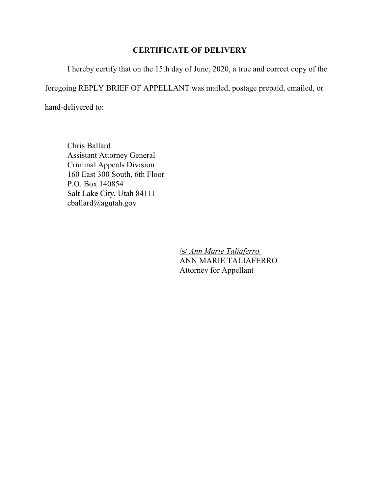### **CERTIFICATE OF DELIVERY**

I hereby certify that on the 15th day of June, 2020, a true and correct copy of the

foregoing REPLY BRIEF OF APPELLANT was mailed, postage prepaid, emailed, or

hand-delivered to:

Chris Ballard Assistant Attorney General Criminal Appeals Division 160 East 300 South, 6th Floor P.O. Box 140854 Salt Lake City, Utah 84111 cballard@agutah.gov

> /s/ *Ann Marie Taliaferro*  ANN MARIE TALIAFERRO Attorney for Appellant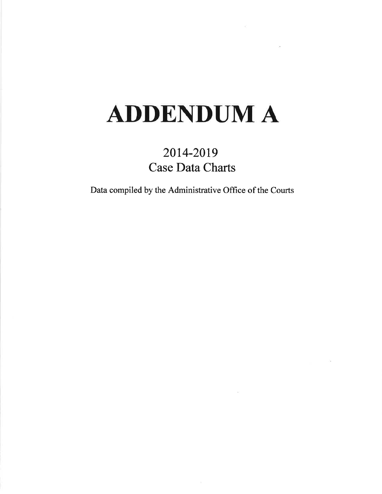### **ADDENDUM A**

### 2014-2019 **Case Data Charts**

Data compiled by the Administrative Office of the Courts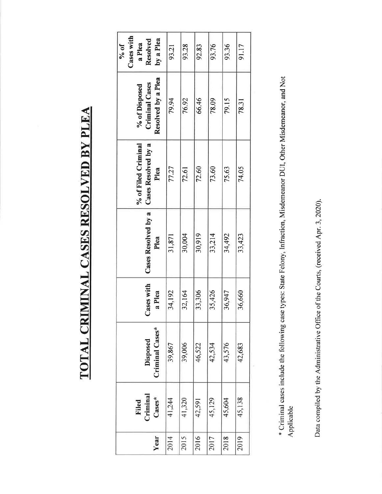### **TOTAL CRIMINAL CASES RESOLVED BY PLEA**

| Cases with<br>by a Plea<br>Resolved<br>$10\%$<br>a Plea      | 93.21  | 93.28  | 92.83  | 93.76  | 93.36  | 91.17  |
|--------------------------------------------------------------|--------|--------|--------|--------|--------|--------|
| Resolved by a Plea<br><b>Criminal Cases</b><br>% of Disposed | 79.94  | 76.92  | 66.46  | 78.09  | 79.15  | 78.31  |
| Cases Resolved by a<br>% of Filed Criminal<br>Plea           | 77.27  | 72.61  | 72.60  | 73.60  | 75.63  | 74.05  |
| Cases Resolved by a<br>Plea                                  | 31,871 | 30,004 | 30,919 | 33,214 | 34,492 | 33,423 |
| ases with<br>a Plea<br>Ő                                     | 34,192 | 32,164 | 33,306 | 35,426 | 36,947 | 36,660 |
| Criminal Cases*<br>Disposed                                  | 39,867 | 39,006 | 46,522 | 42,534 | 43,576 | 42,683 |
| Criminal<br>$\mathbf{Cases}^*$<br>Filed                      | 41,244 | 41,320 | 42,591 | 45,129 | 45,604 | 45,138 |
| Year                                                         | 2014   | 2015   | 2016   | 2017   | 2018   | 2019   |

\* Criminal cases include the following case types: State Felony, Infraction, Misdemeanor DUI, Other Misdemeanor, and Not Applicable

Data compiled by the Administrative Office of the Courts, (received Apr. 3, 2020).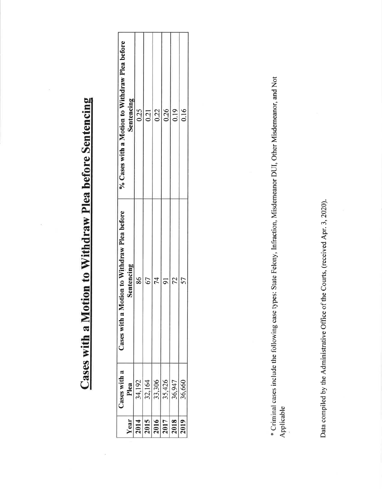## Cases with a Motion to Withdraw Plea before Sentencing

|                                    | Cases with a                          | Motion to Withdraw Plea before<br>Cases with a | % Cases with a Motion to Withdraw Plea before |
|------------------------------------|---------------------------------------|------------------------------------------------|-----------------------------------------------|
| Year                               |                                       | Sentencing                                     | Sentencing                                    |
|                                    | Plea<br>34, 192<br>32, 164<br>33, 426 | 86                                             | 0.25                                          |
| $\frac{2015}{2016} \frac{1}{2017}$ |                                       |                                                | 0.21                                          |
|                                    |                                       |                                                | 0.22                                          |
|                                    |                                       |                                                | 0.26                                          |
|                                    | 36,947                                |                                                | 0.19                                          |
|                                    | 36,660                                |                                                | 0.16                                          |
|                                    |                                       |                                                |                                               |

\* Criminal cases include the following case types: State Felony, Infraction, Misdemeanor DUI, Other Misdemeanor, and Not Applicable

Data compiled by the Administrative Office of the Courts, (received Apr. 3, 2020).